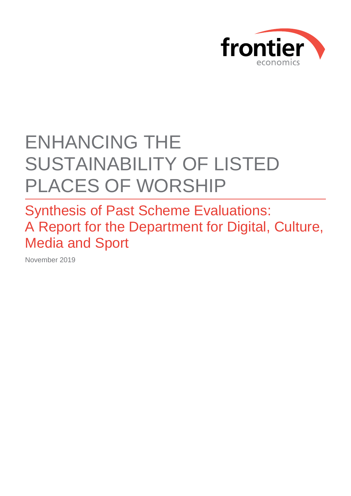

# ENHANCING THE SUSTAINABILITY OF LISTED PLACES OF WORSHIP

Synthesis of Past Scheme Evaluations: A Report for the Department for Digital, Culture, Media and Sport

November 2019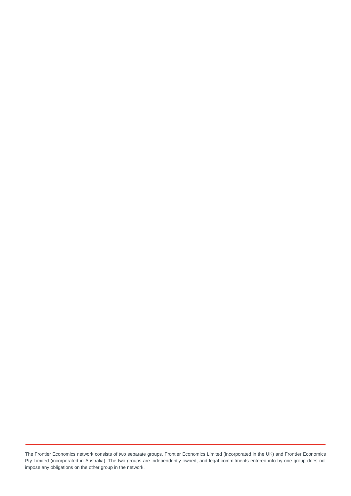The Frontier Economics network consists of two separate groups, Frontier Economics Limited (incorporated in the UK) and Frontier Economics Pty Limited (incorporated in Australia). The two groups are independently owned, and legal commitments entered into by one group does not impose any obligations on the other group in the network.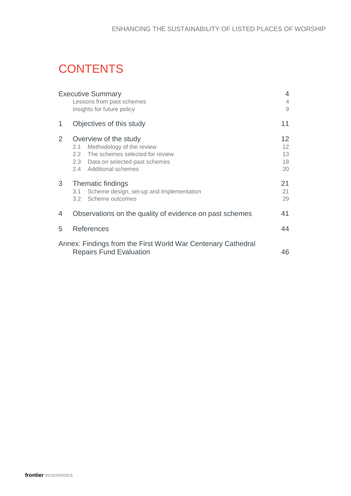# **CONTENTS**

|                | <b>Executive Summary</b>                                     | 4               |  |  |
|----------------|--------------------------------------------------------------|-----------------|--|--|
|                | Lessons from past schemes                                    | $\overline{4}$  |  |  |
|                | Insights for future policy                                   | 9               |  |  |
| 1              | Objectives of this study                                     |                 |  |  |
| $\overline{2}$ | Overview of the study                                        | 12 <sup>2</sup> |  |  |
|                | Methodology of the review<br>2.1                             | 12 <sup>2</sup> |  |  |
|                | 2.2 The schemes selected for review                          | 13              |  |  |
|                | 2.3 Data on selected past schemes                            | 18              |  |  |
|                | 2.4 Additional schemes                                       | 20              |  |  |
| 3              | Thematic findings                                            | 21              |  |  |
|                | Scheme design, set-up and implementation<br>3.1              | 21              |  |  |
|                | Scheme outcomes<br>$3.2^{\circ}$                             | 29              |  |  |
| 4              | Observations on the quality of evidence on past schemes      | 41              |  |  |
|                |                                                              |                 |  |  |
| 5              | References                                                   |                 |  |  |
|                | Annex: Findings from the First World War Centenary Cathedral |                 |  |  |
|                | <b>Repairs Fund Evaluation</b><br>46                         |                 |  |  |
|                |                                                              |                 |  |  |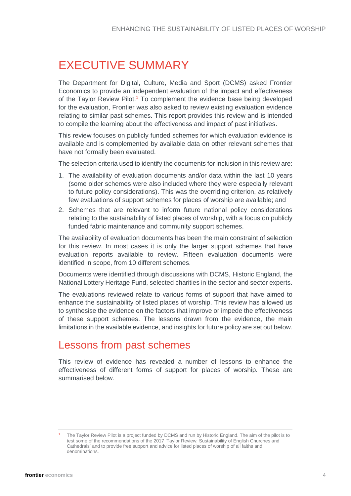# <span id="page-3-0"></span>EXECUTIVE SUMMARY

The Department for Digital, Culture, Media and Sport (DCMS) asked Frontier Economics to provide an independent evaluation of the impact and effectiveness of the Taylor Review Pilot.<sup>1</sup> To complement the evidence base being developed for the evaluation, Frontier was also asked to review existing evaluation evidence relating to similar past schemes. This report provides this review and is intended to compile the learning about the effectiveness and impact of past initiatives.

This review focuses on publicly funded schemes for which evaluation evidence is available and is complemented by available data on other relevant schemes that have not formally been evaluated.

The selection criteria used to identify the documents for inclusion in this review are:

- 1. The availability of evaluation documents and/or data within the last 10 years (some older schemes were also included where they were especially relevant to future policy considerations). This was the overriding criterion, as relatively few evaluations of support schemes for places of worship are available; and
- 2. Schemes that are relevant to inform future national policy considerations relating to the sustainability of listed places of worship, with a focus on publicly funded fabric maintenance and community support schemes.

The availability of evaluation documents has been the main constraint of selection for this review. In most cases it is only the larger support schemes that have evaluation reports available to review. Fifteen evaluation documents were identified in scope, from 10 different schemes.

Documents were identified through discussions with DCMS, Historic England, the National Lottery Heritage Fund, selected charities in the sector and sector experts.

The evaluations reviewed relate to various forms of support that have aimed to enhance the sustainability of listed places of worship. This review has allowed us to synthesise the evidence on the factors that improve or impede the effectiveness of these support schemes. The lessons drawn from the evidence, the main limitations in the available evidence, and insights for future policy are set out below.

### <span id="page-3-1"></span>Lessons from past schemes

This review of evidence has revealed a number of lessons to enhance the effectiveness of different forms of support for places of worship. These are summarised below.

<sup>1</sup> The Taylor Review Pilot is a project funded by DCMS and run by Historic England. The aim of the pilot is to test some of the recommendations of the 2017 'Taylor Review: Sustainability of English Churches and Cathedrals' and to provide free support and advice for listed places of worship of all faiths and denominations.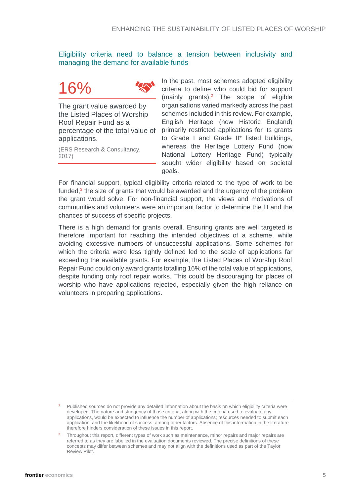Eligibility criteria need to balance a tension between inclusivity and managing the demand for available funds

# 16%



The grant value awarded by the Listed Places of Worship Roof Repair Fund as a percentage of the total value of applications.

(ERS Research & Consultancy, 2017)

In the past, most schemes adopted eligibility criteria to define who could bid for support (mainly grants). <sup>2</sup> The scope of eligible organisations varied markedly across the past schemes included in this review. For example, English Heritage (now Historic England) primarily restricted applications for its grants to Grade I and Grade II\* listed buildings, whereas the Heritage Lottery Fund (now National Lottery Heritage Fund) typically sought wider eligibility based on societal goals.

For financial support, typical eligibility criteria related to the type of work to be funded,<sup>3</sup> the size of grants that would be awarded and the urgency of the problem the grant would solve. For non-financial support, the views and motivations of communities and volunteers were an important factor to determine the fit and the chances of success of specific projects.

There is a high demand for grants overall. Ensuring grants are well targeted is therefore important for reaching the intended objectives of a scheme, while avoiding excessive numbers of unsuccessful applications. Some schemes for which the criteria were less tightly defined led to the scale of applications far exceeding the available grants. For example, the Listed Places of Worship Roof Repair Fund could only award grants totalling 16% of the total value of applications, despite funding only roof repair works. This could be discouraging for places of worship who have applications rejected, especially given the high reliance on volunteers in preparing applications.

<sup>2</sup> Published sources do not provide any detailed information about the basis on which eligibility criteria were developed. The nature and stringency of those criteria, along with the criteria used to evaluate any applications, would be expected to influence the number of applications; resources needed to submit each application; and the likelihood of success, among other factors. Absence of this information in the literature therefore hinders consideration of these issues in this report.

Throughout this report, different types of work such as maintenance, minor repairs and major repairs are referred to as they are labelled in the evaluation documents reviewed. The precise definitions of these concepts may differ between schemes and may not align with the definitions used as part of the Taylor Review Pilot.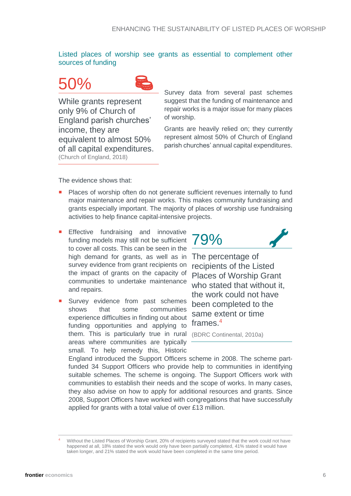Listed places of worship see grants as essential to complement other sources of funding

# 50%



While grants represent only 9% of Church of England parish churches' income, they are equivalent to almost 50% of all capital expenditures. (Church of England, 2018)

Survey data from several past schemes suggest that the funding of maintenance and repair works is a major issue for many places of worship.

Grants are heavily relied on; they currently represent almost 50% of Church of England parish churches' annual capital expenditures.

The evidence shows that:

- Places of worship often do not generate sufficient revenues internally to fund major maintenance and repair works. This makes community fundraising and grants especially important. The majority of places of worship use fundraising activities to help finance capital-intensive projects.
- **Effective fundraising and innovative** funding models may still not be sufficient to cover all costs. This can be seen in the high demand for grants, as well as in survey evidence from grant recipients on the impact of grants on the capacity of communities to undertake maintenance and repairs.
- Survey evidence from past schemes shows that some communities experience difficulties in finding out about funding opportunities and applying to them. This is particularly true in rural (BDRC Continental, 2010a)areas where communities are typically small. To help remedy this, Historic



The percentage of recipients of the Listed Places of Worship Grant who stated that without it. the work could not have been completed to the same extent or time frames. 4

England introduced the Support Officers scheme in 2008. The scheme partfunded 34 Support Officers who provide help to communities in identifying suitable schemes. The scheme is ongoing. The Support Officers work with communities to establish their needs and the scope of works. In many cases, they also advise on how to apply for additional resources and grants. Since 2008, Support Officers have worked with congregations that have successfully applied for grants with a total value of over £13 million.

Without the Listed Places of Worship Grant, 20% of recipients surveyed stated that the work could not have happened at all, 18% stated the work would only have been partially completed, 41% stated it would have taken longer, and 21% stated the work would have been completed in the same time period.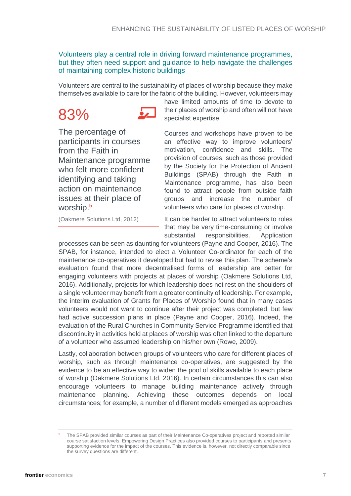#### Volunteers play a central role in driving forward maintenance programmes, but they often need support and guidance to help navigate the challenges of maintaining complex historic buildings

Volunteers are central to the sustainability of places of worship because they make themselves available to care for the fabric of the building. However, volunteers may





The percentage of participants in courses from the Faith in Maintenance programme who felt more confident identifying and taking action on maintenance issues at their place of worship.<sup>5</sup>

have limited amounts of time to devote to their places of worship and often will not have specialist expertise.

Courses and workshops have proven to be an effective way to improve volunteers' motivation, confidence and skills. The provision of courses, such as those provided by the Society for the Protection of Ancient Buildings (SPAB) through the Faith in Maintenance programme, has also been found to attract people from outside faith groups and increase the number of volunteers who care for places of worship.

(Oakmere Solutions Ltd, 2012)

It can be harder to attract volunteers to roles that may be very time-consuming or involve substantial responsibilities. Application

processes can be seen as daunting for volunteers (Payne and Cooper, 2016). The SPAB, for instance, intended to elect a Volunteer Co-ordinator for each of the maintenance co-operatives it developed but had to revise this plan. The scheme's evaluation found that more decentralised forms of leadership are better for engaging volunteers with projects at places of worship (Oakmere Solutions Ltd, 2016). Additionally, projects for which leadership does not rest on the shoulders of a single volunteer may benefit from a greater continuity of leadership. For example, the interim evaluation of Grants for Places of Worship found that in many cases volunteers would not want to continue after their project was completed, but few had active succession plans in place (Payne and Cooper, 2016). Indeed, the evaluation of the Rural Churches in Community Service Programme identified that discontinuity in activities held at places of worship was often linked to the departure of a volunteer who assumed leadership on his/her own (Rowe, 2009).

Lastly, collaboration between groups of volunteers who care for different places of worship, such as through maintenance co-operatives, are suggested by the evidence to be an effective way to widen the pool of skills available to each place of worship (Oakmere Solutions Ltd, 2016). In certain circumstances this can also encourage volunteers to manage building maintenance actively through maintenance planning. Achieving these outcomes depends on local circumstances; for example, a number of different models emerged as approaches

<sup>5</sup> The SPAB provided similar courses as part of their Maintenance Co-operatives project and reported similar course satisfaction levels. Empowering Design Practices also provided courses to participants and presents supporting evidence for the impact of the courses. This evidence is, however, not directly comparable since the survey questions are different.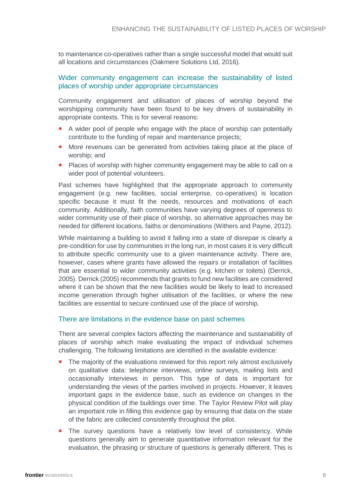to maintenance co-operatives rather than a single successful model that would suit all locations and circumstances (Oakmere Solutions Ltd, 2016).

#### Wider community engagement can increase the sustainability of listed places of worship under appropriate circumstances

Community engagement and utilisation of places of worship beyond the worshipping community have been found to be key drivers of sustainability in appropriate contexts. This is for several reasons:

- A wider pool of people who engage with the place of worship can potentially contribute to the funding of repair and maintenance projects;
- **More revenues can be generated from activities taking place at the place of** worship; and
- **Places of worship with higher community engagement may be able to call on a** wider pool of potential volunteers.

Past schemes have highlighted that the appropriate approach to community engagement (e.g. new facilities, social enterprise, co-operatives) is location specific because it must fit the needs, resources and motivations of each community. Additionally, faith communities have varying degrees of openness to wider community use of their place of worship, so alternative approaches may be needed for different locations, faiths or denominations (Withers and Payne, 2012).

While maintaining a building to avoid it falling into a state of disrepair is clearly a pre-condition for use by communities in the long run, in most cases it is very difficult to attribute specific community use to a given maintenance activity. There are, however, cases where grants have allowed the repairs or installation of facilities that are essential to wider community activities (e.g. kitchen or toilets) (Derrick, 2005). Derrick (2005) recommends that grants to fund new facilities are considered where it can be shown that the new facilities would be likely to lead to increased income generation through higher utilisation of the facilities, or where the new facilities are essential to secure continued use of the place of worship.

#### There are limitations in the evidence base on past schemes

There are several complex factors affecting the maintenance and sustainability of places of worship which make evaluating the impact of individual schemes challenging. The following limitations are identified in the available evidence:

- The majority of the evaluations reviewed for this report rely almost exclusively on qualitative data: telephone interviews, online surveys, mailing lists and occasionally interviews in person. This type of data is important for understanding the views of the parties involved in projects. However, it leaves important gaps in the evidence base, such as evidence on changes in the physical condition of the buildings over time. The Taylor Review Pilot will play an important role in filling this evidence gap by ensuring that data on the state of the fabric are collected consistently throughout the pilot.
- The survey questions have a relatively low level of consistency. While questions generally aim to generate quantitative information relevant for the evaluation, the phrasing or structure of questions is generally different. This is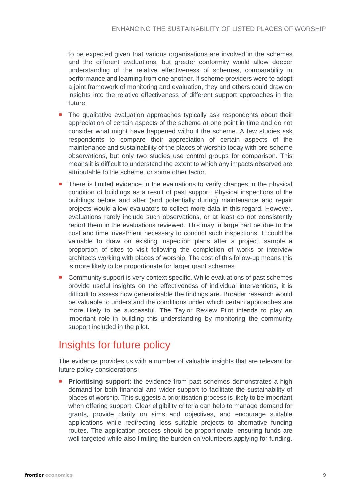to be expected given that various organisations are involved in the schemes and the different evaluations, but greater conformity would allow deeper understanding of the relative effectiveness of schemes, comparability in performance and learning from one another. If scheme providers were to adopt a joint framework of monitoring and evaluation, they and others could draw on insights into the relative effectiveness of different support approaches in the future.

- The qualitative evaluation approaches typically ask respondents about their appreciation of certain aspects of the scheme at one point in time and do not consider what might have happened without the scheme. A few studies ask respondents to compare their appreciation of certain aspects of the maintenance and sustainability of the places of worship today with pre-scheme observations, but only two studies use control groups for comparison. This means it is difficult to understand the extent to which any impacts observed are attributable to the scheme, or some other factor.
- There is limited evidence in the evaluations to verify changes in the physical condition of buildings as a result of past support. Physical inspections of the buildings before and after (and potentially during) maintenance and repair projects would allow evaluators to collect more data in this regard. However, evaluations rarely include such observations, or at least do not consistently report them in the evaluations reviewed. This may in large part be due to the cost and time investment necessary to conduct such inspections. It could be valuable to draw on existing inspection plans after a project, sample a proportion of sites to visit following the completion of works or interview architects working with places of worship. The cost of this follow-up means this is more likely to be proportionate for larger grant schemes.
- **Community support is very context specific. While evaluations of past schemes** provide useful insights on the effectiveness of individual interventions, it is difficult to assess how generalisable the findings are. Broader research would be valuable to understand the conditions under which certain approaches are more likely to be successful. The Taylor Review Pilot intends to play an important role in building this understanding by monitoring the community support included in the pilot.

### <span id="page-8-0"></span>Insights for future policy

The evidence provides us with a number of valuable insights that are relevant for future policy considerations:

**Prioritising support:** the evidence from past schemes demonstrates a high demand for both financial and wider support to facilitate the sustainability of places of worship. This suggests a prioritisation process is likely to be important when offering support. Clear eligibility criteria can help to manage demand for grants, provide clarity on aims and objectives, and encourage suitable applications while redirecting less suitable projects to alternative funding routes. The application process should be proportionate, ensuring funds are well targeted while also limiting the burden on volunteers applying for funding.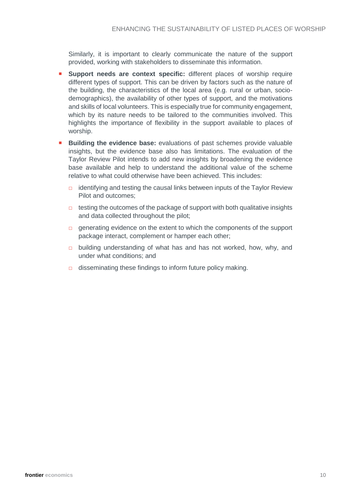Similarly, it is important to clearly communicate the nature of the support provided, working with stakeholders to disseminate this information.

- **Support needs are context specific:** different places of worship require different types of support. This can be driven by factors such as the nature of the building, the characteristics of the local area (e.g. rural or urban, sociodemographics), the availability of other types of support, and the motivations and skills of local volunteers. This is especially true for community engagement, which by its nature needs to be tailored to the communities involved. This highlights the importance of flexibility in the support available to places of worship.
- **Building the evidence base:** evaluations of past schemes provide valuable insights, but the evidence base also has limitations. The evaluation of the Taylor Review Pilot intends to add new insights by broadening the evidence base available and help to understand the additional value of the scheme relative to what could otherwise have been achieved. This includes:
	- $\Box$  identifying and testing the causal links between inputs of the Taylor Review Pilot and outcomes;
	- $\Box$  testing the outcomes of the package of support with both qualitative insights and data collected throughout the pilot;
	- □ generating evidence on the extent to which the components of the support package interact, complement or hamper each other;
	- □ building understanding of what has and has not worked, how, why, and under what conditions; and
	- $\Box$  disseminating these findings to inform future policy making.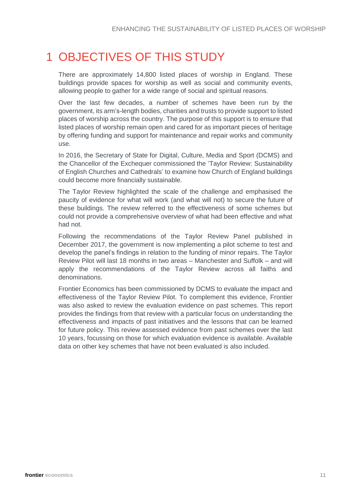# <span id="page-10-0"></span>1 OBJECTIVES OF THIS STUDY

There are approximately 14,800 listed places of worship in England. These buildings provide spaces for worship as well as social and community events, allowing people to gather for a wide range of social and spiritual reasons.

Over the last few decades, a number of schemes have been run by the government, its arm's-length bodies, charities and trusts to provide support to listed places of worship across the country. The purpose of this support is to ensure that listed places of worship remain open and cared for as important pieces of heritage by offering funding and support for maintenance and repair works and community use.

In 2016, the Secretary of State for Digital, Culture, Media and Sport (DCMS) and the Chancellor of the Exchequer commissioned the 'Taylor Review: Sustainability of English Churches and Cathedrals' to examine how Church of England buildings could become more financially sustainable.

The Taylor Review highlighted the scale of the challenge and emphasised the paucity of evidence for what will work (and what will not) to secure the future of these buildings. The review referred to the effectiveness of some schemes but could not provide a comprehensive overview of what had been effective and what had not.

Following the recommendations of the Taylor Review Panel published in December 2017, the government is now implementing a pilot scheme to test and develop the panel's findings in relation to the funding of minor repairs. The Taylor Review Pilot will last 18 months in two areas – Manchester and Suffolk – and will apply the recommendations of the Taylor Review across all faiths and denominations.

Frontier Economics has been commissioned by DCMS to evaluate the impact and effectiveness of the Taylor Review Pilot. To complement this evidence, Frontier was also asked to review the evaluation evidence on past schemes. This report provides the findings from that review with a particular focus on understanding the effectiveness and impacts of past initiatives and the lessons that can be learned for future policy. This review assessed evidence from past schemes over the last 10 years, focussing on those for which evaluation evidence is available. Available data on other key schemes that have not been evaluated is also included.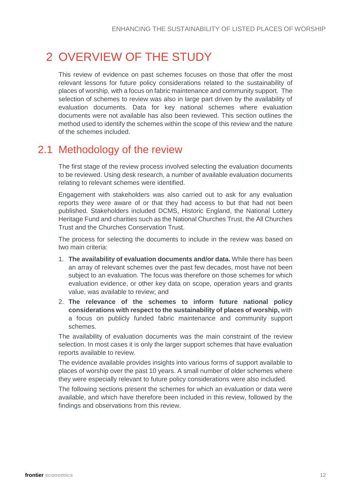# <span id="page-11-0"></span>2 OVERVIEW OF THE STUDY

This review of evidence on past schemes focuses on those that offer the most relevant lessons for future policy considerations related to the sustainability of places of worship, with a focus on fabric maintenance and community support. The selection of schemes to review was also in large part driven by the availability of evaluation documents. Data for key national schemes where evaluation documents were not available has also been reviewed. This section outlines the method used to identify the schemes within the scope of this review and the nature of the schemes included.

### <span id="page-11-1"></span>2.1 Methodology of the review

The first stage of the review process involved selecting the evaluation documents to be reviewed. Using desk research, a number of available evaluation documents relating to relevant schemes were identified.

Engagement with stakeholders was also carried out to ask for any evaluation reports they were aware of or that they had access to but that had not been published. Stakeholders included DCMS, Historic England, the National Lottery Heritage Fund and charities such as the National Churches Trust, the All Churches Trust and the Churches Conservation Trust.

The process for selecting the documents to include in the review was based on two main criteria:

- 1. **The availability of evaluation documents and/or data.** While there has been an array of relevant schemes over the past few decades, most have not been subject to an evaluation. The focus was therefore on those schemes for which evaluation evidence, or other key data on scope, operation years and grants value, was available to review; and
- 2. **The relevance of the schemes to inform future national policy considerations with respect to the sustainability of places of worship,** with a focus on publicly funded fabric maintenance and community support schemes.

The availability of evaluation documents was the main constraint of the review selection. In most cases it is only the larger support schemes that have evaluation reports available to review.

The evidence available provides insights into various forms of support available to places of worship over the past 10 years. A small number of older schemes where they were especially relevant to future policy considerations were also included.

The following sections present the schemes for which an evaluation or data were available, and which have therefore been included in this review, followed by the findings and observations from this review.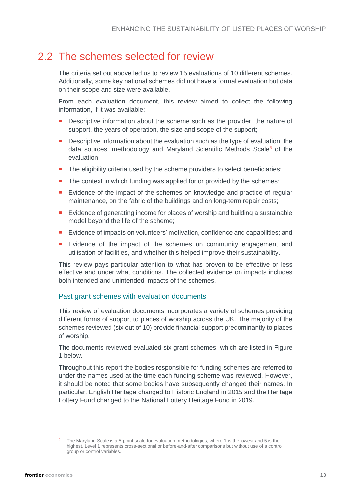### 2.2 The schemes selected for review

<span id="page-12-0"></span>The criteria set out above led us to review 15 evaluations of 10 different schemes. Additionally, some key national schemes did not have a formal evaluation but data on their scope and size were available.

From each evaluation document, this review aimed to collect the following information, if it was available:

- **Descriptive information about the scheme such as the provider, the nature of** support, the years of operation, the size and scope of the support;
- Descriptive information about the evaluation such as the type of evaluation, the data sources, methodology and Maryland Scientific Methods Scale<sup>6</sup> of the evaluation;
- **The eligibility criteria used by the scheme providers to select beneficiaries;**
- The context in which funding was applied for or provided by the schemes;
- **Evidence of the impact of the schemes on knowledge and practice of regular** maintenance, on the fabric of the buildings and on long-term repair costs;
- **Evidence of generating income for places of worship and building a sustainable** model beyond the life of the scheme;
- Evidence of impacts on volunteers' motivation, confidence and capabilities; and
- **Evidence of the impact of the schemes on community engagement and** utilisation of facilities, and whether this helped improve their sustainability.

This review pays particular attention to what has proven to be effective or less effective and under what conditions. The collected evidence on impacts includes both intended and unintended impacts of the schemes.

#### Past grant schemes with evaluation documents

This review of evaluation documents incorporates a variety of schemes providing different forms of support to places of worship across the UK. The majority of the schemes reviewed (six out of 10) provide financial support predominantly to places of worship.

The documents reviewed evaluated six grant schemes, which are listed in Figure 1 below.

Throughout this report the bodies responsible for funding schemes are referred to under the names used at the time each funding scheme was reviewed. However, it should be noted that some bodies have subsequently changed their names. In particular, English Heritage changed to Historic England in 2015 and the Heritage Lottery Fund changed to the National Lottery Heritage Fund in 2019.

The Maryland Scale is a 5-point scale for evaluation methodologies, where 1 is the lowest and 5 is the highest. Level 1 represents cross-sectional or before-and-after comparisons but without use of a control group or control variables.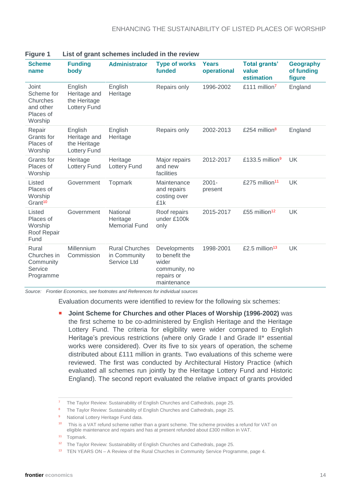| <b>Scheme</b><br>name                                                | <b>Funding</b><br>body                                         | <b>Administrator</b>                                 | <b>Type of works</b><br>funded                                                        | Years<br>operational | <b>Total grants'</b><br>value<br>estimation | <b>Geography</b><br>of funding<br>figure |
|----------------------------------------------------------------------|----------------------------------------------------------------|------------------------------------------------------|---------------------------------------------------------------------------------------|----------------------|---------------------------------------------|------------------------------------------|
| Joint<br>Scheme for<br>Churches<br>and other<br>Places of<br>Worship | English<br>Heritage and<br>the Heritage<br><b>Lottery Fund</b> | English<br>Heritage                                  | Repairs only                                                                          | 1996-2002            | £111 million <sup>7</sup>                   | England                                  |
| Repair<br>Grants for<br>Places of<br>Worship                         | English<br>Heritage and<br>the Heritage<br><b>Lottery Fund</b> | English<br>Heritage                                  | Repairs only                                                                          | 2002-2013            | £254 million <sup>8</sup>                   | England                                  |
| Grants for<br>Places of<br>Worship                                   | Heritage<br><b>Lottery Fund</b>                                | Heritage<br><b>Lottery Fund</b>                      | Major repairs<br>and new<br>facilities                                                | 2012-2017            | £133.5 million <sup>9</sup>                 | <b>UK</b>                                |
| Listed<br>Places of<br>Worship<br>Grant <sup>10</sup>                | Government                                                     | Topmark                                              | Maintenance<br>and repairs<br>costing over<br>£1k                                     | $2001 -$<br>present  | £275 million <sup>11</sup>                  | <b>UK</b>                                |
| Listed<br>Places of<br>Worship<br>Roof Repair<br>Fund                | Government                                                     | National<br>Heritage<br><b>Memorial Fund</b>         | Roof repairs<br>under £100k<br>only                                                   | 2015-2017            | £55 million <sup>12</sup>                   | <b>UK</b>                                |
| Rural<br>Churches in<br>Community<br>Service<br>Programme            | <b>Millennium</b><br>Commission                                | <b>Rural Churches</b><br>in Community<br>Service Ltd | Developments<br>to benefit the<br>wider<br>community, no<br>repairs or<br>maintenance | 1998-2001            | £2.5 million <sup>13</sup>                  | <b>UK</b>                                |

| <b>Figure 1</b> |  | List of grant schemes included in the review |  |  |
|-----------------|--|----------------------------------------------|--|--|
|                 |  |                                              |  |  |

*Source: Frontier Economics, see footnotes and References for individual sources*

Evaluation documents were identified to review for the following six schemes:

 **Joint Scheme for Churches and other Places of Worship (1996-2002)** was the first scheme to be co-administered by English Heritage and the Heritage Lottery Fund. The criteria for eligibility were wider compared to English Heritage's previous restrictions (where only Grade I and Grade II\* essential works were considered). Over its five to six years of operation, the scheme distributed about £111 million in grants. Two evaluations of this scheme were reviewed. The first was conducted by Architectural History Practice (which evaluated all schemes run jointly by the Heritage Lottery Fund and Historic England). The second report evaluated the relative impact of grants provided

<sup>7</sup> The Taylor Review: Sustainability of English Churches and Cathedrals, page 25.

<sup>&</sup>lt;sup>8</sup> The Taylor Review: Sustainability of English Churches and Cathedrals, page 25.

<sup>&</sup>lt;sup>9</sup> National Lottery Heritage Fund data.

<sup>&</sup>lt;sup>10</sup> This is a VAT refund scheme rather than a grant scheme. The scheme provides a refund for VAT on eligible maintenance and repairs and has at present refunded about £300 million in VAT.

<sup>11</sup> Topmark.

<sup>&</sup>lt;sup>12</sup> The Taylor Review: Sustainability of English Churches and Cathedrals, page 25.

<sup>13</sup> TEN YEARS ON – A Review of the Rural Churches in Community Service Programme, page 4.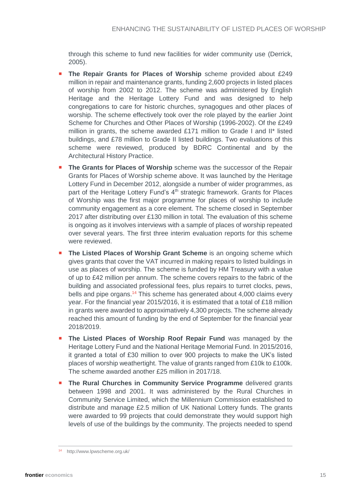through this scheme to fund new facilities for wider community use (Derrick, 2005).

- **The Repair Grants for Places of Worship** scheme provided about £249 million in repair and maintenance grants, funding 2,600 projects in listed places of worship from 2002 to 2012. The scheme was administered by English Heritage and the Heritage Lottery Fund and was designed to help congregations to care for historic churches, synagogues and other places of worship. The scheme effectively took over the role played by the earlier Joint Scheme for Churches and Other Places of Worship (1996-2002). Of the £249 million in grants, the scheme awarded £171 million to Grade I and II\* listed buildings, and £78 million to Grade II listed buildings. Two evaluations of this scheme were reviewed, produced by BDRC Continental and by the Architectural History Practice.
- **The Grants for Places of Worship** scheme was the successor of the Repair Grants for Places of Worship scheme above. It was launched by the Heritage Lottery Fund in December 2012, alongside a number of wider programmes, as part of the Heritage Lottery Fund's 4<sup>th</sup> strategic framework. Grants for Places of Worship was the first major programme for places of worship to include community engagement as a core element. The scheme closed in September 2017 after distributing over £130 million in total. The evaluation of this scheme is ongoing as it involves interviews with a sample of places of worship repeated over several years. The first three interim evaluation reports for this scheme were reviewed.
- **The Listed Places of Worship Grant Scheme** is an ongoing scheme which gives grants that cover the VAT incurred in making repairs to listed buildings in use as places of worship. The scheme is funded by HM Treasury with a value of up to £42 million per annum. The scheme covers repairs to the fabric of the building and associated professional fees, plus repairs to turret clocks, pews, bells and pipe organs.<sup>14</sup> This scheme has generated about 4,000 claims every year. For the financial year 2015/2016, it is estimated that a total of £18 million in grants were awarded to approximatively 4,300 projects. The scheme already reached this amount of funding by the end of September for the financial year 2018/2019.
- **The Listed Places of Worship Roof Repair Fund** was managed by the Heritage Lottery Fund and the National Heritage Memorial Fund. In 2015/2016, it granted a total of £30 million to over 900 projects to make the UK's listed places of worship weathertight. The value of grants ranged from £10k to £100k. The scheme awarded another £25 million in 2017/18.
- **The Rural Churches in Community Service Programme** delivered grants between 1998 and 2001. It was administered by the Rural Churches in Community Service Limited, which the Millennium Commission established to distribute and manage £2.5 million of UK National Lottery funds. The grants were awarded to 99 projects that could demonstrate they would support high levels of use of the buildings by the community. The projects needed to spend

http://www.lpwscheme.org.uk/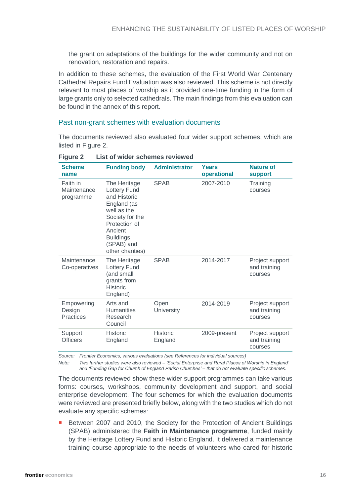the grant on adaptations of the buildings for the wider community and not on renovation, restoration and repairs.

In addition to these schemes, the evaluation of the First World War Centenary Cathedral Repairs Fund Evaluation was also reviewed. This scheme is not directly relevant to most places of worship as it provided one-time funding in the form of large grants only to selected cathedrals. The main findings from this evaluation can be found in the annex of this report.

#### Past non-grant schemes with evaluation documents

The documents reviewed also evaluated four wider support schemes, which are listed in Figure 2.

| <b>Scheme</b><br>name                | <b>Funding body</b>                                                                                                                                                                    | <b>Administrator</b>       | Years<br>operational | <b>Nature of</b><br><b>support</b>         |
|--------------------------------------|----------------------------------------------------------------------------------------------------------------------------------------------------------------------------------------|----------------------------|----------------------|--------------------------------------------|
| Faith in<br>Maintenance<br>programme | The Heritage<br><b>Lottery Fund</b><br>and Historic<br>England (as<br>well as the<br>Society for the<br>Protection of<br>Ancient<br><b>Buildings</b><br>(SPAB) and<br>other charities) | <b>SPAB</b>                | 2007-2010            | Training<br>courses                        |
| Maintenance<br>Co-operatives         | The Heritage<br><b>Lottery Fund</b><br>(and small<br>grants from<br><b>Historic</b><br>England)                                                                                        | <b>SPAB</b>                | 2014-2017            | Project support<br>and training<br>courses |
| Empowering<br>Design<br>Practices    | Arts and<br><b>Humanities</b><br>Research<br>Council                                                                                                                                   | Open<br>University         | 2014-2019            | Project support<br>and training<br>courses |
| Support<br><b>Officers</b>           | <b>Historic</b><br>England                                                                                                                                                             | <b>Historic</b><br>England | 2009-present         | Project support<br>and training<br>courses |

#### **Figure 2 List of wider schemes reviewed**

*Source: Frontier Economics, various evaluations (see References for individual sources)*

*Note: Two further studies were also reviewed – 'Social Enterprise and Rural Places of Worship in England' and 'Funding Gap for Church of England Parish Churches' – that do not evaluate specific schemes.*

The documents reviewed show these wider support programmes can take various forms: courses, workshops, community development and support, and social enterprise development. The four schemes for which the evaluation documents were reviewed are presented briefly below, along with the two studies which do not evaluate any specific schemes:

 Between 2007 and 2010, the Society for the Protection of Ancient Buildings (SPAB) administered the **Faith in Maintenance programme**, funded mainly by the Heritage Lottery Fund and Historic England. It delivered a maintenance training course appropriate to the needs of volunteers who cared for historic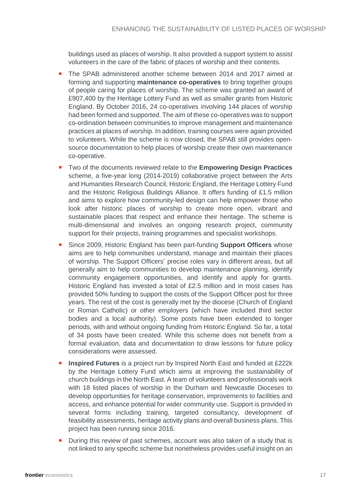buildings used as places of worship. It also provided a support system to assist volunteers in the care of the fabric of places of worship and their contents.

- The SPAB administered another scheme between 2014 and 2017 aimed at forming and supporting **maintenance co-operatives** to bring together groups of people caring for places of worship. The scheme was granted an award of £907,400 by the Heritage Lottery Fund as well as smaller grants from Historic England. By October 2016, 24 co-operatives involving 144 places of worship had been formed and supported. The aim of these co-operatives was to support co-ordination between communities to improve management and maintenance practices at places of worship. In addition, training courses were again provided to volunteers. While the scheme is now closed, the SPAB still provides opensource documentation to help places of worship create their own maintenance co-operative.
- Two of the documents reviewed relate to the **Empowering Design Practices** scheme, a five-year long (2014-2019) collaborative project between the Arts and Humanities Research Council, Historic England, the Heritage Lottery Fund and the Historic Religious Buildings Alliance. It offers funding of £1.5 million and aims to explore how community-led design can help empower those who look after historic places of worship to create more open, vibrant and sustainable places that respect and enhance their heritage. The scheme is multi-dimensional and involves an ongoing research project, community support for their projects, training programmes and specialist workshops.
- Since 2009, Historic England has been part-funding **Support Officers** whose aims are to help communities understand, manage and maintain their places of worship. The Support Officers' precise roles vary in different areas, but all generally aim to help communities to develop maintenance planning, identify community engagement opportunities, and identify and apply for grants. Historic England has invested a total of £2.5 million and in most cases has provided 50% funding to support the costs of the Support Officer post for three years. The rest of the cost is generally met by the diocese (Church of England or Roman Catholic) or other employers (which have included third sector bodies and a local authority). Some posts have been extended to longer periods, with and without ongoing funding from Historic England. So far, a total of 34 posts have been created. While this scheme does not benefit from a formal evaluation, data and documentation to draw lessons for future policy considerations were assessed.
- **Inspired Futures** is a project run by Inspired North East and funded at £222k by the Heritage Lottery Fund which aims at improving the sustainability of church buildings in the North East. A team of volunteers and professionals work with 18 listed places of worship in the Durham and Newcastle Dioceses to develop opportunities for heritage conservation, improvements to facilities and access, and enhance potential for wider community use. Support is provided in several forms including training, targeted consultancy, development of feasibility assessments, heritage activity plans and overall business plans. This project has been running since 2016.
- During this review of past schemes, account was also taken of a study that is not linked to any specific scheme but nonetheless provides useful insight on an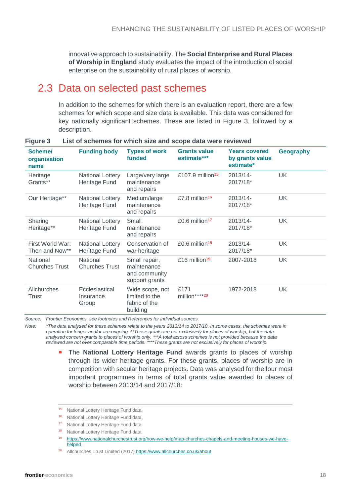innovative approach to sustainability. The **Social Enterprise and Rural Places of Worship in England** study evaluates the impact of the introduction of social enterprise on the sustainability of rural places of worship.

### <span id="page-17-0"></span>2.3 Data on selected past schemes

In addition to the schemes for which there is an evaluation report, there are a few schemes for which scope and size data is available. This data was considered for key nationally significant schemes. These are listed in Figure 3, followed by a description.

| Scheme/<br>organisation<br>name    | <b>Funding body</b>                      | <b>Types of work</b><br>funded                                  | <b>Grants value</b><br>estimate*** | <b>Years covered</b><br>by grants value<br>estimate* | <b>Geography</b> |
|------------------------------------|------------------------------------------|-----------------------------------------------------------------|------------------------------------|------------------------------------------------------|------------------|
| Heritage<br>Grants**               | <b>National Lottery</b><br>Heritage Fund | Large/very large<br>maintenance<br>and repairs                  | £107.9 million <sup>15</sup>       | 2013/14-<br>2017/18*                                 | <b>UK</b>        |
| Our Heritage**                     | National Lottery<br>Heritage Fund        | Medium/large<br>maintenance<br>and repairs                      | £7.8 million <sup>16</sup>         | 2013/14-<br>2017/18*                                 | <b>UK</b>        |
| Sharing<br>Heritage**              | <b>National Lottery</b><br>Heritage Fund | Small<br>maintenance<br>and repairs                             | $£0.6$ million <sup>17</sup>       | 2013/14-<br>2017/18*                                 | <b>UK</b>        |
| First World War:<br>Then and Now** | <b>National Lottery</b><br>Heritage Fund | Conservation of<br>war heritage                                 | £0.6 million <sup>18</sup>         | 2013/14-<br>2017/18*                                 | UK               |
| National<br><b>Churches Trust</b>  | National<br><b>Churches Trust</b>        | Small repair,<br>maintenance<br>and community<br>support grants | £16 million <sup>19</sup>          | 2007-2018                                            | UK.              |
| Allchurches<br>Trust               | Ecclesiastical<br>Insurance<br>Group     | Wide scope, not<br>limited to the<br>fabric of the<br>building  | £171<br>million****20              | 1972-2018                                            | UK               |

#### **Figure 3 List of schemes for which size and scope data were reviewed**

*Source: Frontier Economics, see footnotes and References for individual sources.*

*Note: \*The data analysed for these schemes relate to the years 2013/14 to 2017/18. In some cases, the schemes were in operation for longer and/or are ongoing. \*\*These grants are not exclusively for places of worship, but the data analysed concern grants to places of worship only. \*\*\*A total across schemes is not provided because the data reviewed are not over comparable time periods. \*\*\*\*These grants are not exclusively for places of worship.*

> The **National Lottery Heritage Fund** awards grants to places of worship through its wider heritage grants. For these grants, places of worship are in competition with secular heritage projects. Data was analysed for the four most important programmes in terms of total grants value awarded to places of worship between 2013/14 and 2017/18:

<sup>&</sup>lt;sup>15</sup> National Lottery Heritage Fund data.

<sup>&</sup>lt;sup>16</sup> National Lottery Heritage Fund data.

<sup>&</sup>lt;sup>17</sup> National Lottery Heritage Fund data.

<sup>&</sup>lt;sup>18</sup> National Lottery Heritage Fund data.

<sup>19</sup> [https://www.nationalchurchestrust.org/how-we-help/map-churches-chapels-and-meeting-houses-we-have](https://www.nationalchurchestrust.org/how-we-help/map-churches-chapels-and-meeting-houses-we-have-helped)[helped](https://www.nationalchurchestrust.org/how-we-help/map-churches-chapels-and-meeting-houses-we-have-helped)

<sup>20</sup> Allchurches Trust Limited (2017)<https://www.allchurches.co.uk/about>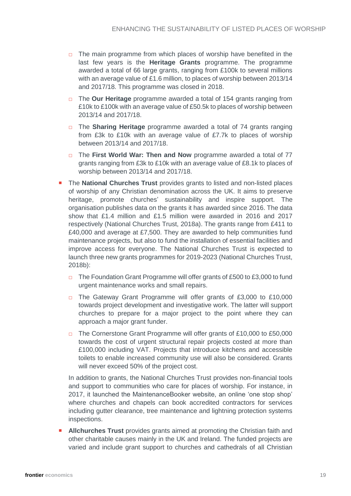- $\Box$  The main programme from which places of worship have benefited in the last few years is the **Heritage Grants** programme. The programme awarded a total of 66 large grants, ranging from £100k to several millions with an average value of £1.6 million, to places of worship between 2013/14 and 2017/18. This programme was closed in 2018.
- □ The **Our Heritage** programme awarded a total of 154 grants ranging from £10k to £100k with an average value of £50.5k to places of worship between 2013/14 and 2017/18.
- □ The **Sharing Heritage** programme awarded a total of 74 grants ranging from £3k to £10k with an average value of £7.7k to places of worship between 2013/14 and 2017/18.
- □ The **First World War: Then and Now** programme awarded a total of 77 grants ranging from £3k to £10k with an average value of £8.1k to places of worship between 2013/14 and 2017/18.
- **The National Churches Trust** provides grants to listed and non-listed places of worship of any Christian denomination across the UK. It aims to preserve heritage, promote churches' sustainability and inspire support. The organisation publishes data on the grants it has awarded since 2016. The data show that £1.4 million and £1.5 million were awarded in 2016 and 2017 respectively (National Churches Trust, 2018a). The grants range from £411 to £40,000 and average at £7,500. They are awarded to help communities fund maintenance projects, but also to fund the installation of essential facilities and improve access for everyone. The National Churches Trust is expected to launch three new grants programmes for 2019-2023 (National Churches Trust, 2018b):
	- □ The Foundation Grant Programme will offer grants of £500 to £3,000 to fund urgent maintenance works and small repairs.
	- □ The Gateway Grant Programme will offer grants of £3,000 to £10,000 towards project development and investigative work. The latter will support churches to prepare for a major project to the point where they can approach a major grant funder.
	- □ The Cornerstone Grant Programme will offer grants of £10,000 to £50,000 towards the cost of urgent structural repair projects costed at more than £100,000 including VAT. Projects that introduce kitchens and accessible toilets to enable increased community use will also be considered. Grants will never exceed 50% of the project cost.

In addition to grants, the National Churches Trust provides non-financial tools and support to communities who care for places of worship. For instance, in 2017, it launched the MaintenanceBooker website, an online 'one stop shop' where churches and chapels can book accredited contractors for services including gutter clearance, tree maintenance and lightning protection systems inspections.

**Allchurches Trust** provides grants aimed at promoting the Christian faith and other charitable causes mainly in the UK and Ireland. The funded projects are varied and include grant support to churches and cathedrals of all Christian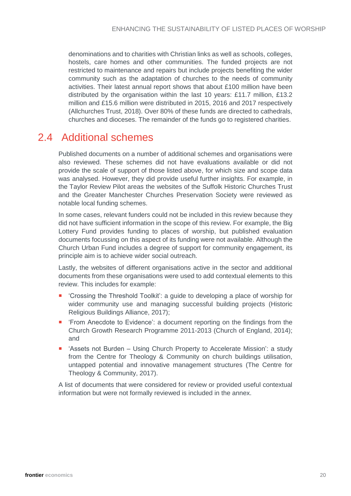denominations and to charities with Christian links as well as schools, colleges, hostels, care homes and other communities. The funded projects are not restricted to maintenance and repairs but include projects benefiting the wider community such as the adaptation of churches to the needs of community activities. Their latest annual report shows that about £100 million have been distributed by the organisation within the last 10 years: £11.7 million, £13.2 million and £15.6 million were distributed in 2015, 2016 and 2017 respectively (Allchurches Trust, 2018). Over 80% of these funds are directed to cathedrals, churches and dioceses. The remainder of the funds go to registered charities.

### <span id="page-19-0"></span>2.4 Additional schemes

Published documents on a number of additional schemes and organisations were also reviewed. These schemes did not have evaluations available or did not provide the scale of support of those listed above, for which size and scope data was analysed. However, they did provide useful further insights. For example, in the Taylor Review Pilot areas the websites of the Suffolk Historic Churches Trust and the Greater Manchester Churches Preservation Society were reviewed as notable local funding schemes.

In some cases, relevant funders could not be included in this review because they did not have sufficient information in the scope of this review. For example, the Big Lottery Fund provides funding to places of worship, but published evaluation documents focussing on this aspect of its funding were not available. Although the Church Urban Fund includes a degree of support for community engagement, its principle aim is to achieve wider social outreach.

Lastly, the websites of different organisations active in the sector and additional documents from these organisations were used to add contextual elements to this review. This includes for example:

- 'Crossing the Threshold Toolkit': a guide to developing a place of worship for wider community use and managing successful building projects (Historic Religious Buildings Alliance, 2017);
- 'From Anecdote to Evidence': a document reporting on the findings from the Church Growth Research Programme 2011-2013 (Church of England, 2014); and
- 'Assets not Burden Using Church Property to Accelerate Mission': a study from the Centre for Theology & Community on church buildings utilisation, untapped potential and innovative management structures (The Centre for Theology & Community, 2017).

A list of documents that were considered for review or provided useful contextual information but were not formally reviewed is included in the annex.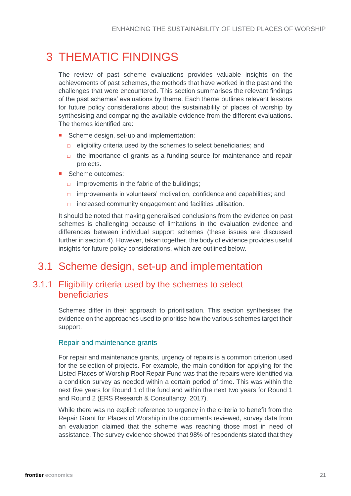# <span id="page-20-0"></span>3 THEMATIC FINDINGS

The review of past scheme evaluations provides valuable insights on the achievements of past schemes, the methods that have worked in the past and the challenges that were encountered. This section summarises the relevant findings of the past schemes' evaluations by theme. Each theme outlines relevant lessons for future policy considerations about the sustainability of places of worship by synthesising and comparing the available evidence from the different evaluations. The themes identified are:

- Scheme design, set-up and implementation:
	- $\Box$  eligibility criteria used by the schemes to select beneficiaries; and
	- $\Box$  the importance of grants as a funding source for maintenance and repair projects.
- Scheme outcomes:
	- $\Box$  improvements in the fabric of the buildings;
	- □ improvements in volunteers' motivation, confidence and capabilities; and
	- □ increased community engagement and facilities utilisation.

It should be noted that making generalised conclusions from the evidence on past schemes is challenging because of limitations in the evaluation evidence and differences between individual support schemes (these issues are discussed further in section [4\)](#page-40-0). However, taken together, the body of evidence provides useful insights for future policy considerations, which are outlined below.

### <span id="page-20-1"></span>3.1 Scheme design, set-up and implementation

#### <span id="page-20-2"></span>3.1.1 Eligibility criteria used by the schemes to select beneficiaries

Schemes differ in their approach to prioritisation. This section synthesises the evidence on the approaches used to prioritise how the various schemes target their support.

#### Repair and maintenance grants

For repair and maintenance grants, urgency of repairs is a common criterion used for the selection of projects. For example, the main condition for applying for the Listed Places of Worship Roof Repair Fund was that the repairs were identified via a condition survey as needed within a certain period of time. This was within the next five years for Round 1 of the fund and within the next two years for Round 1 and Round 2 (ERS Research & Consultancy, 2017).

While there was no explicit reference to urgency in the criteria to benefit from the Repair Grant for Places of Worship in the documents reviewed, survey data from an evaluation claimed that the scheme was reaching those most in need of assistance. The survey evidence showed that 98% of respondents stated that they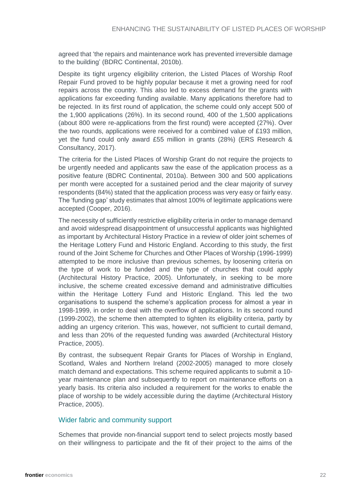agreed that 'the repairs and maintenance work has prevented irreversible damage to the building' (BDRC Continental, 2010b).

Despite its tight urgency eligibility criterion, the Listed Places of Worship Roof Repair Fund proved to be highly popular because it met a growing need for roof repairs across the country. This also led to excess demand for the grants with applications far exceeding funding available. Many applications therefore had to be rejected. In its first round of application, the scheme could only accept 500 of the 1,900 applications (26%). In its second round, 400 of the 1,500 applications (about 800 were re-applications from the first round) were accepted (27%). Over the two rounds, applications were received for a combined value of £193 million, yet the fund could only award £55 million in grants (28%) (ERS Research & Consultancy, 2017).

The criteria for the Listed Places of Worship Grant do not require the projects to be urgently needed and applicants saw the ease of the application process as a positive feature (BDRC Continental, 2010a). Between 300 and 500 applications per month were accepted for a sustained period and the clear majority of survey respondents (84%) stated that the application process was very easy or fairly easy. The 'funding gap' study estimates that almost 100% of legitimate applications were accepted (Cooper, 2016).

The necessity of sufficiently restrictive eligibility criteria in order to manage demand and avoid widespread disappointment of unsuccessful applicants was highlighted as important by Architectural History Practice in a review of older joint schemes of the Heritage Lottery Fund and Historic England. According to this study, the first round of the Joint Scheme for Churches and Other Places of Worship (1996-1999) attempted to be more inclusive than previous schemes, by loosening criteria on the type of work to be funded and the type of churches that could apply (Architectural History Practice, 2005). Unfortunately, in seeking to be more inclusive, the scheme created excessive demand and administrative difficulties within the Heritage Lottery Fund and Historic England. This led the two organisations to suspend the scheme's application process for almost a year in 1998-1999, in order to deal with the overflow of applications. In its second round (1999-2002), the scheme then attempted to tighten its eligibility criteria, partly by adding an urgency criterion. This was, however, not sufficient to curtail demand, and less than 20% of the requested funding was awarded (Architectural History Practice, 2005).

By contrast, the subsequent Repair Grants for Places of Worship in England, Scotland, Wales and Northern Ireland (2002-2005) managed to more closely match demand and expectations. This scheme required applicants to submit a 10 year maintenance plan and subsequently to report on maintenance efforts on a yearly basis. Its criteria also included a requirement for the works to enable the place of worship to be widely accessible during the daytime (Architectural History Practice, 2005).

#### Wider fabric and community support

Schemes that provide non-financial support tend to select projects mostly based on their willingness to participate and the fit of their project to the aims of the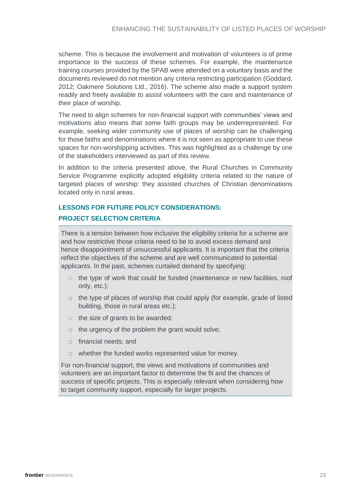scheme. This is because the involvement and motivation of volunteers is of prime importance to the success of these schemes. For example, the maintenance training courses provided by the SPAB were attended on a voluntary basis and the documents reviewed do not mention any criteria restricting participation (Goddard, 2012; Oakmere Solutions Ltd., 2016). The scheme also made a support system readily and freely available to assist volunteers with the care and maintenance of their place of worship.

The need to align schemes for non-financial support with communities' views and motivations also means that some faith groups may be underrepresented. For example, seeking wider community use of places of worship can be challenging for those faiths and denominations where it is not seen as appropriate to use these spaces for non-worshipping activities. This was highlighted as a challenge by one of the stakeholders interviewed as part of this review.

In addition to the criteria presented above, the Rural Churches in Community Service Programme explicitly adopted eligibility criteria related to the nature of targeted places of worship: they assisted churches of Christian denominations located only in rural areas.

### **LESSONS FOR FUTURE POLICY CONSIDERATIONS: PROJECT SELECTION CRITERIA**

There is a tension between how inclusive the eligibility criteria for a scheme are and how restrictive those criteria need to be to avoid excess demand and hence disappointment of unsuccessful applicants. It is important that the criteria reflect the objectives of the scheme and are well communicated to potential applicants. In the past, schemes curtailed demand by specifying:

- $\Box$  the type of work that could be funded (maintenance or new facilities, roof only, etc.);
- □ the type of places of worship that could apply (for example, grade of listed building, those in rural areas etc.);
- $\Box$  the size of grants to be awarded;
- $\Box$  the urgency of the problem the grant would solve;
- □ financial needs; and
- □ whether the funded works represented value for money.

For non-financial support, the views and motivations of communities and volunteers are an important factor to determine the fit and the chances of success of specific projects. This is especially relevant when considering how to target community support, especially for larger projects.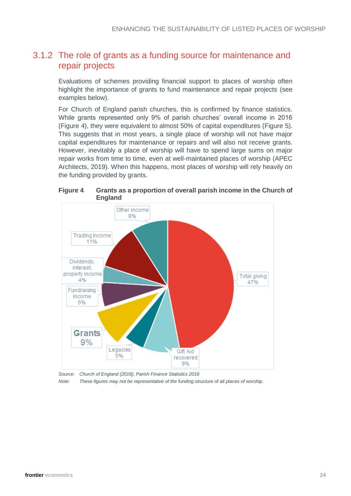#### <span id="page-23-1"></span>3.1.2 The role of grants as a funding source for maintenance and repair projects

Evaluations of schemes providing financial support to places of worship often highlight the importance of grants to fund maintenance and repair projects (see examples below).

For Church of England parish churches, this is confirmed by finance statistics. While grants represented only 9% of parish churches' overall income in 2016 [\(Figure 4\)](#page-23-0), they were equivalent to almost 50% of capital expenditures [\(Figure 5\)](#page-24-0). This suggests that in most years, a single place of worship will not have major capital expenditures for maintenance or repairs and will also not receive grants. However, inevitably a place of worship will have to spend large sums on major repair works from time to time, even at well-maintained places of worship (APEC Architects, 2019). When this happens, most places of worship will rely heavily on the funding provided by grants.

<span id="page-23-0"></span>**Figure 4 Grants as a proportion of overall parish income in the Church of** 



*Source: Church of England (2018), Parish Finance Statistics 2016*

*Note: These figures may not be representative of the funding structure of all places of worship.*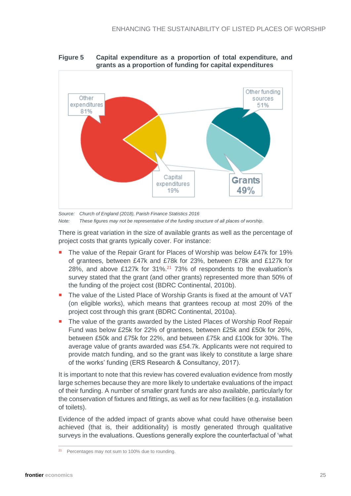<span id="page-24-0"></span>



*Source: Church of England (2018), Parish Finance Statistics 2016 Note: These figures may not be representative of the funding structure of all places of worship.*

There is great variation in the size of available grants as well as the percentage of project costs that grants typically cover. For instance:

- The value of the Repair Grant for Places of Worship was below £47k for 19% of grantees, between £47k and £78k for 23%, between £78k and £127k for 28%, and above £127k for  $31\frac{1}{2}$  73% of respondents to the evaluation's survey stated that the grant (and other grants) represented more than 50% of the funding of the project cost (BDRC Continental, 2010b).
- The value of the Listed Place of Worship Grants is fixed at the amount of VAT (on eligible works), which means that grantees recoup at most 20% of the project cost through this grant (BDRC Continental, 2010a).
- The value of the grants awarded by the Listed Places of Worship Roof Repair Fund was below £25k for 22% of grantees, between £25k and £50k for 26%, between £50k and £75k for 22%, and between £75k and £100k for 30%. The average value of grants awarded was £54.7k. Applicants were not required to provide match funding, and so the grant was likely to constitute a large share of the works' funding (ERS Research & Consultancy, 2017).

It is important to note that this review has covered evaluation evidence from mostly large schemes because they are more likely to undertake evaluations of the impact of their funding. A number of smaller grant funds are also available, particularly for the conservation of fixtures and fittings, as well as for new facilities (e.g. installation of toilets).

Evidence of the added impact of grants above what could have otherwise been achieved (that is, their additionality) is mostly generated through qualitative surveys in the evaluations. Questions generally explore the counterfactual of 'what

<sup>&</sup>lt;sup>21</sup> Percentages may not sum to 100% due to rounding.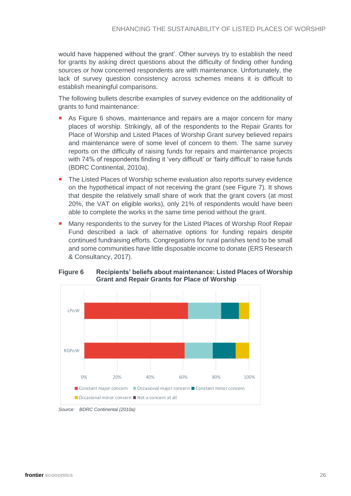would have happened without the grant'. Other surveys try to establish the need for grants by asking direct questions about the difficulty of finding other funding sources or how concerned respondents are with maintenance. Unfortunately, the lack of survey question consistency across schemes means it is difficult to establish meaningful comparisons.

The following bullets describe examples of survey evidence on the additionality of grants to fund maintenance:

- As Figure 6 shows, maintenance and repairs are a major concern for many places of worship. Strikingly, all of the respondents to the Repair Grants for Place of Worship and Listed Places of Worship Grant survey believed repairs and maintenance were of some level of concern to them. The same survey reports on the difficulty of raising funds for repairs and maintenance projects with 74% of respondents finding it 'very difficult' or 'fairly difficult' to raise funds (BDRC Continental, 2010a).
- The Listed Places of Worship scheme evaluation also reports survey evidence on the hypothetical impact of not receiving the grant (see [Figure 7\)](#page-26-0). It shows that despite the relatively small share of work that the grant covers (at most 20%, the VAT on eligible works), only 21% of respondents would have been able to complete the works in the same time period without the grant.
- Many respondents to the survey for the Listed Places of Worship Roof Repair Fund described a lack of alternative options for funding repairs despite continued fundraising efforts. Congregations for rural parishes tend to be small and some communities have little disposable income to donate (ERS Research & Consultancy, 2017).



**Figure 6 Recipients' beliefs about maintenance: Listed Places of Worship Grant and Repair Grants for Place of Worship**

*Source: BDRC Continental (2010a)*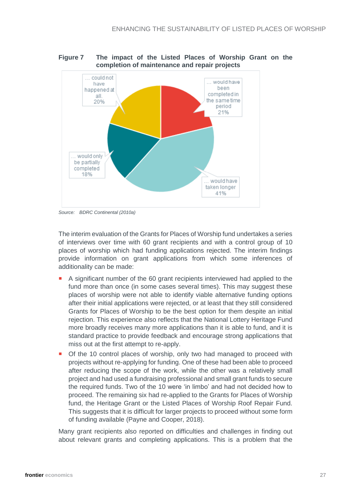

<span id="page-26-0"></span>**Figure 7 The impact of the Listed Places of Worship Grant on the completion of maintenance and repair projects**

The interim evaluation of the Grants for Places of Worship fund undertakes a series of interviews over time with 60 grant recipients and with a control group of 10 places of worship which had funding applications rejected. The interim findings provide information on grant applications from which some inferences of additionality can be made:

- A significant number of the 60 grant recipients interviewed had applied to the fund more than once (in some cases several times). This may suggest these places of worship were not able to identify viable alternative funding options after their initial applications were rejected, or at least that they still considered Grants for Places of Worship to be the best option for them despite an initial rejection. This experience also reflects that the National Lottery Heritage Fund more broadly receives many more applications than it is able to fund, and it is standard practice to provide feedback and encourage strong applications that miss out at the first attempt to re-apply.
- Of the 10 control places of worship, only two had managed to proceed with projects without re-applying for funding. One of these had been able to proceed after reducing the scope of the work, while the other was a relatively small project and had used a fundraising professional and small grant funds to secure the required funds. Two of the 10 were 'in limbo' and had not decided how to proceed. The remaining six had re-applied to the Grants for Places of Worship fund, the Heritage Grant or the Listed Places of Worship Roof Repair Fund. This suggests that it is difficult for larger projects to proceed without some form of funding available (Payne and Cooper, 2018).

Many grant recipients also reported on difficulties and challenges in finding out about relevant grants and completing applications. This is a problem that the

*Source: BDRC Continental (2010a)*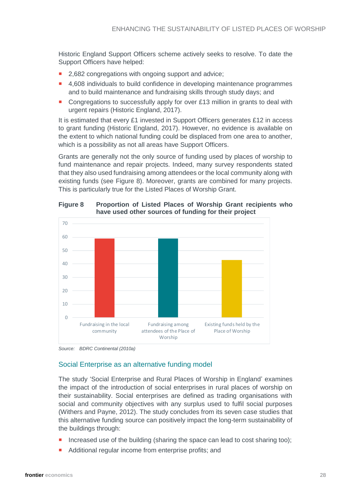Historic England Support Officers scheme actively seeks to resolve. To date the Support Officers have helped:

- 2,682 congregations with ongoing support and advice;
- 4,608 individuals to build confidence in developing maintenance programmes and to build maintenance and fundraising skills through study days; and
- Congregations to successfully apply for over £13 million in grants to deal with urgent repairs (Historic England, 2017).

It is estimated that every £1 invested in Support Officers generates £12 in access to grant funding (Historic England, 2017). However, no evidence is available on the extent to which national funding could be displaced from one area to another, which is a possibility as not all areas have Support Officers.

Grants are generally not the only source of funding used by places of worship to fund maintenance and repair projects. Indeed, many survey respondents stated that they also used fundraising among attendees or the local community along with existing funds (see [Figure 8\)](#page-27-0). Moreover, grants are combined for many projects. This is particularly true for the Listed Places of Worship Grant.



<span id="page-27-0"></span>**Figure 8 Proportion of Listed Places of Worship Grant recipients who have used other sources of funding for their project**

*Source: BDRC Continental (2010a)*

#### Social Enterprise as an alternative funding model

The study 'Social Enterprise and Rural Places of Worship in England' examines the impact of the introduction of social enterprises in rural places of worship on their sustainability. Social enterprises are defined as trading organisations with social and community objectives with any surplus used to fulfil social purposes (Withers and Payne, 2012). The study concludes from its seven case studies that this alternative funding source can positively impact the long-term sustainability of the buildings through:

- Increased use of the building (sharing the space can lead to cost sharing too);
- Additional regular income from enterprise profits; and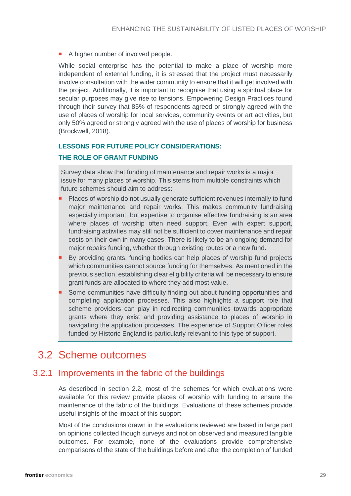A higher number of involved people.

While social enterprise has the potential to make a place of worship more independent of external funding, it is stressed that the project must necessarily involve consultation with the wider community to ensure that it will get involved with the project. Additionally, it is important to recognise that using a spiritual place for secular purposes may give rise to tensions. Empowering Design Practices found through their survey that 85% of respondents agreed or strongly agreed with the use of places of worship for local services, community events or art activities, but only 50% agreed or strongly agreed with the use of places of worship for business (Brockwell, 2018).

#### **LESSONS FOR FUTURE POLICY CONSIDERATIONS:**

#### **THE ROLE OF GRANT FUNDING**

Survey data show that funding of maintenance and repair works is a major issue for many places of worship. This stems from multiple constraints which future schemes should aim to address:

- Places of worship do not usually generate sufficient revenues internally to fund major maintenance and repair works. This makes community fundraising especially important, but expertise to organise effective fundraising is an area where places of worship often need support. Even with expert support, fundraising activities may still not be sufficient to cover maintenance and repair costs on their own in many cases. There is likely to be an ongoing demand for major repairs funding, whether through existing routes or a new fund.
- By providing grants, funding bodies can help places of worship fund projects which communities cannot source funding for themselves. As mentioned in the previous section, establishing clear eligibility criteria will be necessary to ensure grant funds are allocated to where they add most value.
- Some communities have difficulty finding out about funding opportunities and completing application processes. This also highlights a support role that scheme providers can play in redirecting communities towards appropriate grants where they exist and providing assistance to places of worship in navigating the application processes. The experience of Support Officer roles funded by Historic England is particularly relevant to this type of support.

### <span id="page-28-0"></span>3.2 Scheme outcomes

#### 3.2.1 Improvements in the fabric of the buildings

As described in section [2.2,](#page-12-0) most of the schemes for which evaluations were available for this review provide places of worship with funding to ensure the maintenance of the fabric of the buildings. Evaluations of these schemes provide useful insights of the impact of this support.

Most of the conclusions drawn in the evaluations reviewed are based in large part on opinions collected though surveys and not on observed and measured tangible outcomes. For example, none of the evaluations provide comprehensive comparisons of the state of the buildings before and after the completion of funded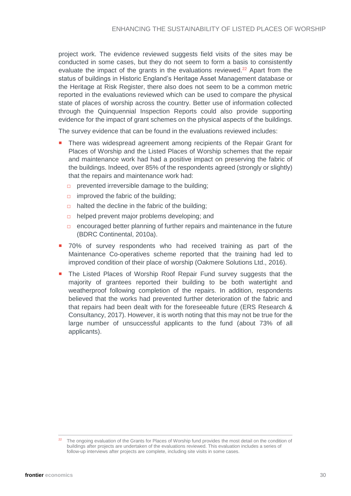project work. The evidence reviewed suggests field visits of the sites may be conducted in some cases, but they do not seem to form a basis to consistently evaluate the impact of the grants in the evaluations reviewed.<sup>22</sup> Apart from the status of buildings in Historic England's Heritage Asset Management database or the Heritage at Risk Register, there also does not seem to be a common metric reported in the evaluations reviewed which can be used to compare the physical state of places of worship across the country. Better use of information collected through the Quinquennial Inspection Reports could also provide supporting evidence for the impact of grant schemes on the physical aspects of the buildings.

The survey evidence that can be found in the evaluations reviewed includes:

- **There was widespread agreement among recipients of the Repair Grant for** Places of Worship and the Listed Places of Worship schemes that the repair and maintenance work had had a positive impact on preserving the fabric of the buildings. Indeed, over 85% of the respondents agreed (strongly or slightly) that the repairs and maintenance work had:
	- □ prevented irreversible damage to the building;
	- $\Box$  improved the fabric of the building;
	- $\Box$  halted the decline in the fabric of the building:
	- □ helped prevent major problems developing; and
	- $\Box$  encouraged better planning of further repairs and maintenance in the future (BDRC Continental, 2010a).
- **70%** of survey respondents who had received training as part of the Maintenance Co-operatives scheme reported that the training had led to improved condition of their place of worship (Oakmere Solutions Ltd., 2016).
- The Listed Places of Worship Roof Repair Fund survey suggests that the majority of grantees reported their building to be both watertight and weatherproof following completion of the repairs. In addition, respondents believed that the works had prevented further deterioration of the fabric and that repairs had been dealt with for the foreseeable future (ERS Research & Consultancy, 2017). However, it is worth noting that this may not be true for the large number of unsuccessful applicants to the fund (about 73% of all applicants).

<sup>&</sup>lt;sup>22</sup> The ongoing evaluation of the Grants for Places of Worship fund provides the most detail on the condition of buildings after projects are undertaken of the evaluations reviewed. This evaluation includes a series of follow-up interviews after projects are complete, including site visits in some cases.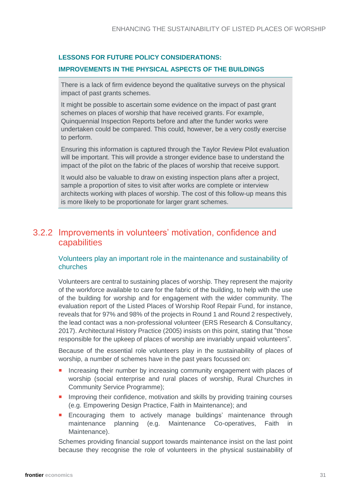#### **LESSONS FOR FUTURE POLICY CONSIDERATIONS:**

#### **IMPROVEMENTS IN THE PHYSICAL ASPECTS OF THE BUILDINGS**

There is a lack of firm evidence beyond the qualitative surveys on the physical impact of past grants schemes.

It might be possible to ascertain some evidence on the impact of past grant schemes on places of worship that have received grants. For example, Quinquennial Inspection Reports before and after the funder works were undertaken could be compared. This could, however, be a very costly exercise to perform.

Ensuring this information is captured through the Taylor Review Pilot evaluation will be important. This will provide a stronger evidence base to understand the impact of the pilot on the fabric of the places of worship that receive support.

It would also be valuable to draw on existing inspection plans after a project, sample a proportion of sites to visit after works are complete or interview architects working with places of worship. The cost of this follow-up means this is more likely to be proportionate for larger grant schemes.

#### 3.2.2 Improvements in volunteers' motivation, confidence and capabilities

#### Volunteers play an important role in the maintenance and sustainability of churches

Volunteers are central to sustaining places of worship. They represent the majority of the workforce available to care for the fabric of the building, to help with the use of the building for worship and for engagement with the wider community. The evaluation report of the Listed Places of Worship Roof Repair Fund, for instance, reveals that for 97% and 98% of the projects in Round 1 and Round 2 respectively, the lead contact was a non-professional volunteer (ERS Research & Consultancy, 2017). Architectural History Practice (2005) insists on this point, stating that "those responsible for the upkeep of places of worship are invariably unpaid volunteers".

Because of the essential role volunteers play in the sustainability of places of worship, a number of schemes have in the past years focussed on:

- **Increasing their number by increasing community engagement with places of** worship (social enterprise and rural places of worship, Rural Churches in Community Service Programme);
- **Improving their confidence, motivation and skills by providing training courses** (e.g. Empowering Design Practice, Faith in Maintenance); and
- **Encouraging them to actively manage buildings' maintenance through** maintenance planning (e.g. Maintenance Co-operatives, Faith in Maintenance).

Schemes providing financial support towards maintenance insist on the last point because they recognise the role of volunteers in the physical sustainability of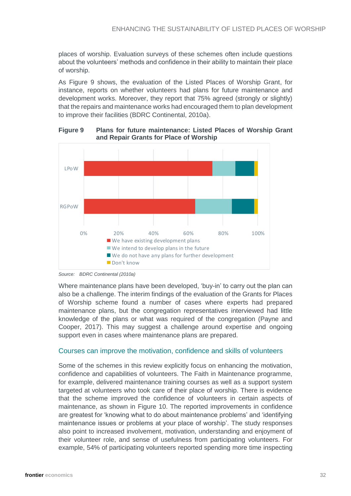places of worship. Evaluation surveys of these schemes often include questions about the volunteers' methods and confidence in their ability to maintain their place of worship.

As Figure 9 shows, the evaluation of the Listed Places of Worship Grant, for instance, reports on whether volunteers had plans for future maintenance and development works. Moreover, they report that 75% agreed (strongly or slightly) that the repairs and maintenance works had encouraged them to plan development to improve their facilities (BDRC Continental, 2010a).



**Figure 9 Plans for future maintenance: Listed Places of Worship Grant and Repair Grants for Place of Worship**

Where maintenance plans have been developed, 'buy-in' to carry out the plan can also be a challenge. The interim findings of the evaluation of the Grants for Places of Worship scheme found a number of cases where experts had prepared maintenance plans, but the congregation representatives interviewed had little knowledge of the plans or what was required of the congregation (Payne and Cooper, 2017). This may suggest a challenge around expertise and ongoing support even in cases where maintenance plans are prepared.

#### Courses can improve the motivation, confidence and skills of volunteers

Some of the schemes in this review explicitly focus on enhancing the motivation, confidence and capabilities of volunteers. The Faith in Maintenance programme, for example, delivered maintenance training courses as well as a support system targeted at volunteers who took care of their place of worship. There is evidence that the scheme improved the confidence of volunteers in certain aspects of maintenance, as shown in Figure 10. The reported improvements in confidence are greatest for 'knowing what to do about maintenance problems' and 'identifying maintenance issues or problems at your place of worship'. The study responses also point to increased involvement, motivation, understanding and enjoyment of their volunteer role, and sense of usefulness from participating volunteers. For example, 54% of participating volunteers reported spending more time inspecting

*Source: BDRC Continental (2010a)*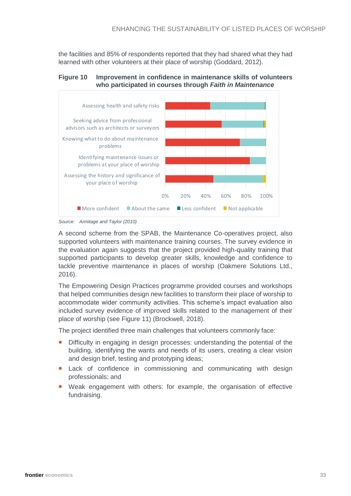the facilities and 85% of respondents reported that they had shared what they had learned with other volunteers at their place of worship (Goddard, 2012).





*Source: Armitage and Taylor (2010)*

A second scheme from the SPAB, the Maintenance Co-operatives project, also supported volunteers with maintenance training courses. The survey evidence in the evaluation again suggests that the project provided high-quality training that supported participants to develop greater skills, knowledge and confidence to tackle preventive maintenance in places of worship (Oakmere Solutions Ltd., 2016).

The Empowering Design Practices programme provided courses and workshops that helped communities design new facilities to transform their place of worship to accommodate wider community activities. This scheme's impact evaluation also included survey evidence of improved skills related to the management of their place of worship (see [Figure 11\)](#page-33-0) (Brockwell, 2018).

The project identified three main challenges that volunteers commonly face:

- Difficulty in engaging in design processes: understanding the potential of the building, identifying the wants and needs of its users, creating a clear vision and design brief, testing and prototyping ideas;
- Lack of confidence in commissioning and communicating with design professionals; and
- Weak engagement with others: for example, the organisation of effective fundraising.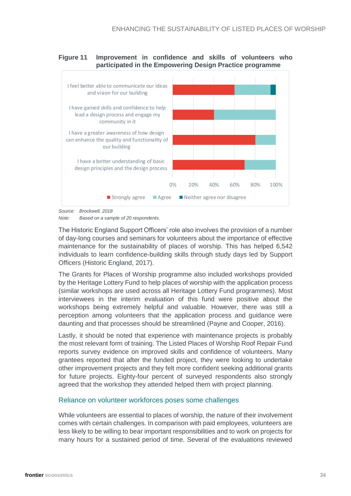#### <span id="page-33-0"></span>**Figure 11 Improvement in confidence and skills of volunteers who participated in the Empowering Design Practice programme**



*Source: Brockwell, 2018*

The Historic England Support Officers' role also involves the provision of a number of day-long courses and seminars for volunteers about the importance of effective maintenance for the sustainability of places of worship. This has helped 6,542 individuals to learn confidence-building skills through study days led by Support Officers (Historic England, 2017).

The Grants for Places of Worship programme also included workshops provided by the Heritage Lottery Fund to help places of worship with the application process (similar workshops are used across all Heritage Lottery Fund programmes). Most interviewees in the interim evaluation of this fund were positive about the workshops being extremely helpful and valuable. However, there was still a perception among volunteers that the application process and guidance were daunting and that processes should be streamlined (Payne and Cooper, 2016).

Lastly, it should be noted that experience with maintenance projects is probably the most relevant form of training. The Listed Places of Worship Roof Repair Fund reports survey evidence on improved skills and confidence of volunteers. Many grantees reported that after the funded project, they were looking to undertake other improvement projects and they felt more confident seeking additional grants for future projects. Eighty-four percent of surveyed respondents also strongly agreed that the workshop they attended helped them with project planning.

#### Reliance on volunteer workforces poses some challenges

While volunteers are essential to places of worship, the nature of their involvement comes with certain challenges. In comparison with paid employees, volunteers are less likely to be willing to bear important responsibilities and to work on projects for many hours for a sustained period of time. Several of the evaluations reviewed

*Note: Based on a sample of 20 respondents.*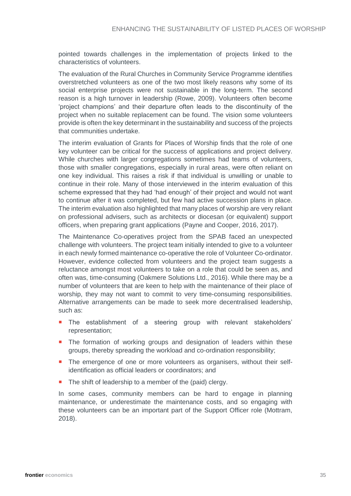pointed towards challenges in the implementation of projects linked to the characteristics of volunteers.

The evaluation of the Rural Churches in Community Service Programme identifies overstretched volunteers as one of the two most likely reasons why some of its social enterprise projects were not sustainable in the long-term. The second reason is a high turnover in leadership (Rowe, 2009). Volunteers often become 'project champions' and their departure often leads to the discontinuity of the project when no suitable replacement can be found. The vision some volunteers provide is often the key determinant in the sustainability and success of the projects that communities undertake.

The interim evaluation of Grants for Places of Worship finds that the role of one key volunteer can be critical for the success of applications and project delivery. While churches with larger congregations sometimes had teams of volunteers, those with smaller congregations, especially in rural areas, were often reliant on one key individual. This raises a risk if that individual is unwilling or unable to continue in their role. Many of those interviewed in the interim evaluation of this scheme expressed that they had 'had enough' of their project and would not want to continue after it was completed, but few had active succession plans in place. The interim evaluation also highlighted that many places of worship are very reliant on professional advisers, such as architects or diocesan (or equivalent) support officers, when preparing grant applications (Payne and Cooper, 2016, 2017).

The Maintenance Co-operatives project from the SPAB faced an unexpected challenge with volunteers. The project team initially intended to give to a volunteer in each newly formed maintenance co-operative the role of Volunteer Co-ordinator. However, evidence collected from volunteers and the project team suggests a reluctance amongst most volunteers to take on a role that could be seen as, and often was, time-consuming (Oakmere Solutions Ltd., 2016). While there may be a number of volunteers that are keen to help with the maintenance of their place of worship, they may not want to commit to very time-consuming responsibilities. Alternative arrangements can be made to seek more decentralised leadership, such as:

- The establishment of a steering group with relevant stakeholders' representation;
- **The formation of working groups and designation of leaders within these** groups, thereby spreading the workload and co-ordination responsibility;
- **The emergence of one or more volunteers as organisers, without their self**identification as official leaders or coordinators; and
- The shift of leadership to a member of the (paid) clergy.

In some cases, community members can be hard to engage in planning maintenance, or underestimate the maintenance costs, and so engaging with these volunteers can be an important part of the Support Officer role (Mottram, 2018).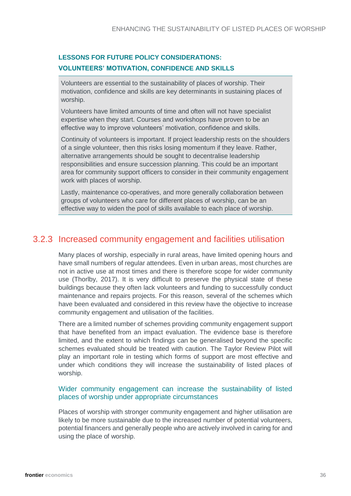#### **LESSONS FOR FUTURE POLICY CONSIDERATIONS: VOLUNTEERS' MOTIVATION, CONFIDENCE AND SKILLS**

Volunteers are essential to the sustainability of places of worship. Their motivation, confidence and skills are key determinants in sustaining places of worship.

Volunteers have limited amounts of time and often will not have specialist expertise when they start. Courses and workshops have proven to be an effective way to improve volunteers' motivation, confidence and skills.

Continuity of volunteers is important. If project leadership rests on the shoulders of a single volunteer, then this risks losing momentum if they leave. Rather, alternative arrangements should be sought to decentralise leadership responsibilities and ensure succession planning. This could be an important area for community support officers to consider in their community engagement work with places of worship.

Lastly, maintenance co-operatives, and more generally collaboration between groups of volunteers who care for different places of worship, can be an effective way to widen the pool of skills available to each place of worship.

### 3.2.3 Increased community engagement and facilities utilisation

Many places of worship, especially in rural areas, have limited opening hours and have small numbers of regular attendees. Even in urban areas, most churches are not in active use at most times and there is therefore scope for wider community use (Thorlby, 2017). It is very difficult to preserve the physical state of these buildings because they often lack volunteers and funding to successfully conduct maintenance and repairs projects. For this reason, several of the schemes which have been evaluated and considered in this review have the objective to increase community engagement and utilisation of the facilities.

There are a limited number of schemes providing community engagement support that have benefited from an impact evaluation. The evidence base is therefore limited, and the extent to which findings can be generalised beyond the specific schemes evaluated should be treated with caution. The Taylor Review Pilot will play an important role in testing which forms of support are most effective and under which conditions they will increase the sustainability of listed places of worship.

#### Wider community engagement can increase the sustainability of listed places of worship under appropriate circumstances

Places of worship with stronger community engagement and higher utilisation are likely to be more sustainable due to the increased number of potential volunteers, potential financers and generally people who are actively involved in caring for and using the place of worship.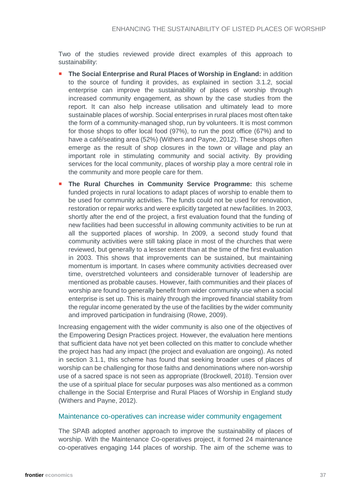Two of the studies reviewed provide direct examples of this approach to sustainability:

- **The Social Enterprise and Rural Places of Worship in England:** in addition to the source of funding it provides, as explained in section [3.1.2,](#page-23-1) social enterprise can improve the sustainability of places of worship through increased community engagement, as shown by the case studies from the report. It can also help increase utilisation and ultimately lead to more sustainable places of worship. Social enterprises in rural places most often take the form of a community-managed shop, run by volunteers. It is most common for those shops to offer local food (97%), to run the post office (67%) and to have a café/seating area (52%) (Withers and Payne, 2012). These shops often emerge as the result of shop closures in the town or village and play an important role in stimulating community and social activity. By providing services for the local community, places of worship play a more central role in the community and more people care for them.
- **The Rural Churches in Community Service Programme:** this scheme funded projects in rural locations to adapt places of worship to enable them to be used for community activities. The funds could not be used for renovation, restoration or repair works and were explicitly targeted at new facilities. In 2003, shortly after the end of the project, a first evaluation found that the funding of new facilities had been successful in allowing community activities to be run at all the supported places of worship. In 2009, a second study found that community activities were still taking place in most of the churches that were reviewed, but generally to a lesser extent than at the time of the first evaluation in 2003. This shows that improvements can be sustained, but maintaining momentum is important. In cases where community activities decreased over time, overstretched volunteers and considerable turnover of leadership are mentioned as probable causes. However, faith communities and their places of worship are found to generally benefit from wider community use when a social enterprise is set up. This is mainly through the improved financial stability from the regular income generated by the use of the facilities by the wider community and improved participation in fundraising (Rowe, 2009).

Increasing engagement with the wider community is also one of the objectives of the Empowering Design Practices project. However, the evaluation here mentions that sufficient data have not yet been collected on this matter to conclude whether the project has had any impact (the project and evaluation are ongoing). As noted in section [3.1.1,](#page-20-2) this scheme has found that seeking broader uses of places of worship can be challenging for those faiths and denominations where non-worship use of a sacred space is not seen as appropriate (Brockwell, 2018). Tension over the use of a spiritual place for secular purposes was also mentioned as a common challenge in the Social Enterprise and Rural Places of Worship in England study (Withers and Payne, 2012).

#### Maintenance co-operatives can increase wider community engagement

The SPAB adopted another approach to improve the sustainability of places of worship. With the Maintenance Co-operatives project, it formed 24 maintenance co-operatives engaging 144 places of worship. The aim of the scheme was to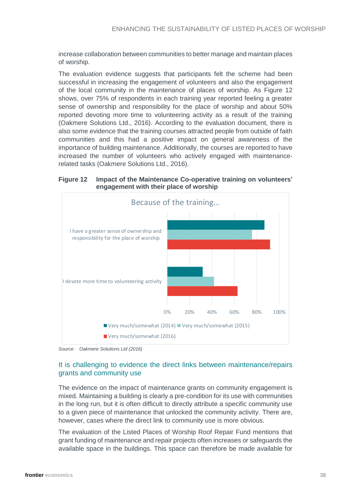increase collaboration between communities to better manage and maintain places of worship.

The evaluation evidence suggests that participants felt the scheme had been successful in increasing the engagement of volunteers and also the engagement of the local community in the maintenance of places of worship. As Figure 12 shows, over 75% of respondents in each training year reported feeling a greater sense of ownership and responsibility for the place of worship and about 50% reported devoting more time to volunteering activity as a result of the training (Oakmere Solutions Ltd., 2016). According to the evaluation document, there is also some evidence that the training courses attracted people from outside of faith communities and this had a positive impact on general awareness of the importance of building maintenance. Additionally, the courses are reported to have increased the number of volunteers who actively engaged with maintenancerelated tasks (Oakmere Solutions Ltd., 2016).

**Figure 12 Impact of the Maintenance Co-operative training on volunteers' engagement with their place of worship**



*Source: Oakmere Solutions Ltd (2016)*

#### It is challenging to evidence the direct links between maintenance/repairs grants and community use

The evidence on the impact of maintenance grants on community engagement is mixed. Maintaining a building is clearly a pre-condition for its use with communities in the long run, but it is often difficult to directly attribute a specific community use to a given piece of maintenance that unlocked the community activity. There are, however, cases where the direct link to community use is more obvious.

The evaluation of the Listed Places of Worship Roof Repair Fund mentions that grant funding of maintenance and repair projects often increases or safeguards the available space in the buildings. This space can therefore be made available for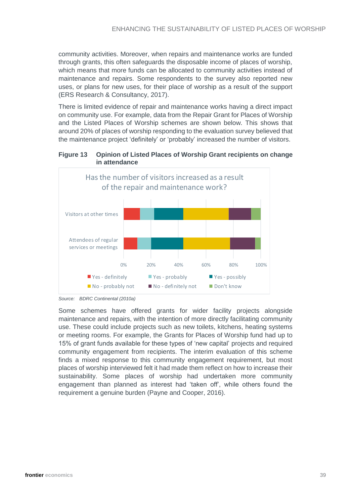community activities. Moreover, when repairs and maintenance works are funded through grants, this often safeguards the disposable income of places of worship, which means that more funds can be allocated to community activities instead of maintenance and repairs. Some respondents to the survey also reported new uses, or plans for new uses, for their place of worship as a result of the support (ERS Research & Consultancy, 2017).

There is limited evidence of repair and maintenance works having a direct impact on community use. For example, data from the Repair Grant for Places of Worship and the Listed Places of Worship schemes are shown below. This shows that around 20% of places of worship responding to the evaluation survey believed that the maintenance project 'definitely' or 'probably' increased the number of visitors.

#### **Figure 13 Opinion of Listed Places of Worship Grant recipients on change in attendance**



*Source: BDRC Continental (2010a)*

Some schemes have offered grants for wider facility projects alongside maintenance and repairs, with the intention of more directly facilitating community use. These could include projects such as new toilets, kitchens, heating systems or meeting rooms. For example, the Grants for Places of Worship fund had up to 15% of grant funds available for these types of 'new capital' projects and required community engagement from recipients. The interim evaluation of this scheme finds a mixed response to this community engagement requirement, but most places of worship interviewed felt it had made them reflect on how to increase their sustainability. Some places of worship had undertaken more community engagement than planned as interest had 'taken off', while others found the requirement a genuine burden (Payne and Cooper, 2016).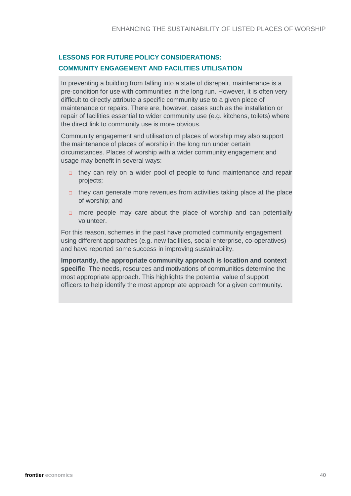#### **LESSONS FOR FUTURE POLICY CONSIDERATIONS: COMMUNITY ENGAGEMENT AND FACILITIES UTILISATION**

In preventing a building from falling into a state of disrepair, maintenance is a pre-condition for use with communities in the long run. However, it is often very difficult to directly attribute a specific community use to a given piece of maintenance or repairs. There are, however, cases such as the installation or repair of facilities essential to wider community use (e.g. kitchens, toilets) where the direct link to community use is more obvious.

Community engagement and utilisation of places of worship may also support the maintenance of places of worship in the long run under certain circumstances. Places of worship with a wider community engagement and usage may benefit in several ways:

- □ they can rely on a wider pool of people to fund maintenance and repair projects;
- □ they can generate more revenues from activities taking place at the place of worship; and
- □ more people may care about the place of worship and can potentially volunteer.

For this reason, schemes in the past have promoted community engagement using different approaches (e.g. new facilities, social enterprise, co-operatives) and have reported some success in improving sustainability.

**Importantly, the appropriate community approach is location and context specific**. The needs, resources and motivations of communities determine the most appropriate approach. This highlights the potential value of support officers to help identify the most appropriate approach for a given community.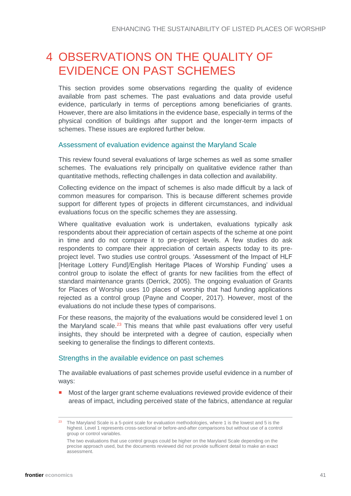## <span id="page-40-0"></span>4 OBSERVATIONS ON THE QUALITY OF EVIDENCE ON PAST SCHEMES

This section provides some observations regarding the quality of evidence available from past schemes. The past evaluations and data provide useful evidence, particularly in terms of perceptions among beneficiaries of grants. However, there are also limitations in the evidence base, especially in terms of the physical condition of buildings after support and the longer-term impacts of schemes. These issues are explored further below.

#### Assessment of evaluation evidence against the Maryland Scale

This review found several evaluations of large schemes as well as some smaller schemes. The evaluations rely principally on qualitative evidence rather than quantitative methods, reflecting challenges in data collection and availability.

Collecting evidence on the impact of schemes is also made difficult by a lack of common measures for comparison. This is because different schemes provide support for different types of projects in different circumstances, and individual evaluations focus on the specific schemes they are assessing.

Where qualitative evaluation work is undertaken, evaluations typically ask respondents about their appreciation of certain aspects of the scheme at one point in time and do not compare it to pre-project levels. A few studies do ask respondents to compare their appreciation of certain aspects today to its preproject level. Two studies use control groups. 'Assessment of the Impact of HLF [Heritage Lottery Fund]/English Heritage Places of Worship Funding' uses a control group to isolate the effect of grants for new facilities from the effect of standard maintenance grants (Derrick, 2005). The ongoing evaluation of Grants for Places of Worship uses 10 places of worship that had funding applications rejected as a control group (Payne and Cooper, 2017). However, most of the evaluations do not include these types of comparisons.

For these reasons, the majority of the evaluations would be considered level 1 on the Maryland scale.<sup>23</sup> This means that while past evaluations offer very useful insights, they should be interpreted with a degree of caution, especially when seeking to generalise the findings to different contexts.

#### Strengths in the available evidence on past schemes

The available evaluations of past schemes provide useful evidence in a number of ways:

Most of the larger grant scheme evaluations reviewed provide evidence of their areas of impact, including perceived state of the fabrics, attendance at regular

<sup>&</sup>lt;sup>23</sup> The Maryland Scale is a 5-point scale for evaluation methodologies, where 1 is the lowest and 5 is the highest. Level 1 represents cross-sectional or before-and-after comparisons but without use of a control group or control variables.

The two evaluations that use control groups could be higher on the Maryland Scale depending on the precise approach used, but the documents reviewed did not provide sufficient detail to make an exact assessment.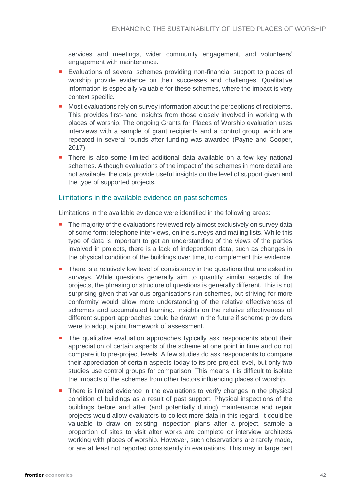services and meetings, wider community engagement, and volunteers' engagement with maintenance.

- **Evaluations of several schemes providing non-financial support to places of** worship provide evidence on their successes and challenges. Qualitative information is especially valuable for these schemes, where the impact is very context specific.
- Most evaluations rely on survey information about the perceptions of recipients. This provides first-hand insights from those closely involved in working with places of worship. The ongoing Grants for Places of Worship evaluation uses interviews with a sample of grant recipients and a control group, which are repeated in several rounds after funding was awarded (Payne and Cooper, 2017).
- **There is also some limited additional data available on a few key national** schemes. Although evaluations of the impact of the schemes in more detail are not available, the data provide useful insights on the level of support given and the type of supported projects.

#### Limitations in the available evidence on past schemes

Limitations in the available evidence were identified in the following areas:

- The majority of the evaluations reviewed rely almost exclusively on survey data of some form: telephone interviews, online surveys and mailing lists. While this type of data is important to get an understanding of the views of the parties involved in projects, there is a lack of independent data, such as changes in the physical condition of the buildings over time, to complement this evidence.
- **There is a relatively low level of consistency in the questions that are asked in** surveys. While questions generally aim to quantify similar aspects of the projects, the phrasing or structure of questions is generally different. This is not surprising given that various organisations run schemes, but striving for more conformity would allow more understanding of the relative effectiveness of schemes and accumulated learning. Insights on the relative effectiveness of different support approaches could be drawn in the future if scheme providers were to adopt a joint framework of assessment.
- **The qualitative evaluation approaches typically ask respondents about their** appreciation of certain aspects of the scheme at one point in time and do not compare it to pre-project levels. A few studies do ask respondents to compare their appreciation of certain aspects today to its pre-project level, but only two studies use control groups for comparison. This means it is difficult to isolate the impacts of the schemes from other factors influencing places of worship.
- **There is limited evidence in the evaluations to verify changes in the physical** condition of buildings as a result of past support. Physical inspections of the buildings before and after (and potentially during) maintenance and repair projects would allow evaluators to collect more data in this regard. It could be valuable to draw on existing inspection plans after a project, sample a proportion of sites to visit after works are complete or interview architects working with places of worship. However, such observations are rarely made, or are at least not reported consistently in evaluations. This may in large part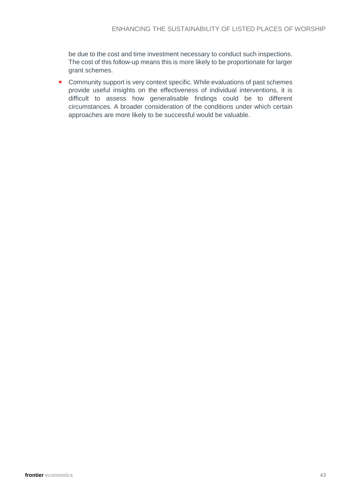be due to the cost and time investment necessary to conduct such inspections. The cost of this follow-up means this is more likely to be proportionate for larger grant schemes.

**Community support is very context specific. While evaluations of past schemes** provide useful insights on the effectiveness of individual interventions, it is difficult to assess how generalisable findings could be to different circumstances. A broader consideration of the conditions under which certain approaches are more likely to be successful would be valuable.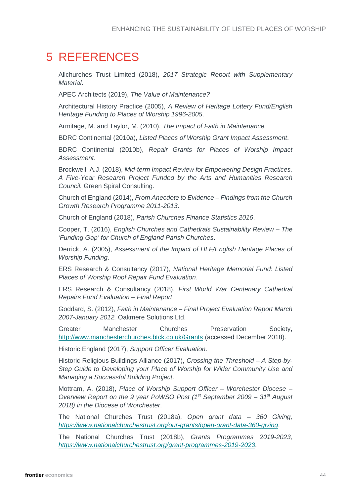## <span id="page-43-0"></span>5 REFERENCES

Allchurches Trust Limited (2018), *2017 Strategic Report with Supplementary Material*.

APEC Architects (2019), *The Value of Maintenance?*

Architectural History Practice (2005), *A Review of Heritage Lottery Fund/English Heritage Funding to Places of Worship 1996-2005*.

Armitage, M. and Taylor, M. (2010), *The Impact of Faith in Maintenance.*

BDRC Continental (2010a), *Listed Places of Worship Grant Impact Assessment*.

BDRC Continental (2010b), *Repair Grants for Places of Worship Impact Assessment*.

Brockwell, A.J. (2018), *Mid-term Impact Review for Empowering Design Practices, A Five-Year Research Project Funded by the Arts and Humanities Research Council.* Green Spiral Consulting.

Church of England (2014), *From Anecdote to Evidence – Findings from the Church Growth Research Programme 2011-2013*.

Church of England (2018), *Parish Churches Finance Statistics 2016*.

Cooper, T. (2016), *English Churches and Cathedrals Sustainability Review – The 'Funding Gap' for Church of England Parish Churches*.

Derrick, A. (2005), *Assessment of the Impact of HLF/English Heritage Places of Worship Funding*.

ERS Research & Consultancy (2017), *National Heritage Memorial Fund: Listed Places of Worship Roof Repair Fund Evaluation*.

ERS Research & Consultancy (2018), *First World War Centenary Cathedral Repairs Fund Evaluation – Final Report*.

Goddard, S. (2012), *Faith in Maintenance – Final Project Evaluation Report March 2007-January 2012.* Oakmere Solutions Ltd.

Greater Manchester Churches Preservation Society, <http://www.manchesterchurches.btck.co.uk/Grants> (accessed December 2018).

Historic England (2017), *Support Officer Evaluation*.

Historic Religious Buildings Alliance (2017), *Crossing the Threshold – A Step-by-Step Guide to Developing your Place of Worship for Wider Community Use and Managing a Successful Building Project*.

Mottram, A. (2018), *Place of Worship Support Officer – Worchester Diocese – Overview Report on the 9 year PoWSO Post (1st September 2009 – 31st August 2018) in the Diocese of Worchester*.

The National Churches Trust (2018a), *Open grant data – 360 Giving, <https://www.nationalchurchestrust.org/our-grants/open-grant-data-360-giving>*.

The National Churches Trust (2018b), *Grants Programmes 2019-2023, <https://www.nationalchurchestrust.org/grant-programmes-2019-2023>*.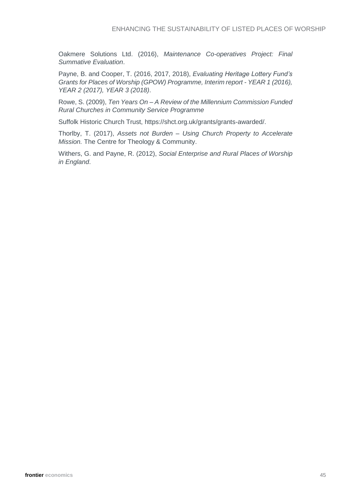Oakmere Solutions Ltd. (2016), *Maintenance Co-operatives Project: Final Summative Evaluation*.

Payne, B. and Cooper, T. (2016, 2017, 2018), *Evaluating Heritage Lottery Fund's Grants for Places of Worship (GPOW) Programme, Interim report - YEAR 1 (2016), YEAR 2 (2017), YEAR 3 (2018)*.

Rowe, S. (2009), *Ten Years On – A Review of the Millennium Commission Funded Rural Churches in Community Service Programme*

Suffolk Historic Church Trust, https://shct.org.uk/grants/grants-awarded/.

Thorlby, T. (2017), *Assets not Burden – Using Church Property to Accelerate Mission.* The Centre for Theology & Community.

Withers, G. and Payne, R. (2012), *Social Enterprise and Rural Places of Worship in England*.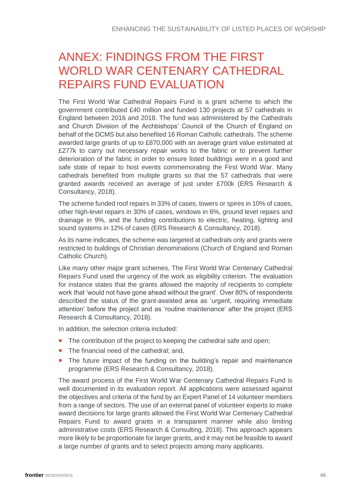# <span id="page-45-0"></span>ANNEX: FINDINGS FROM THE FIRST WORLD WAR CENTENARY CATHEDRAL REPAIRS FUND EVALUATION

The First World War Cathedral Repairs Fund is a grant scheme to which the government contributed £40 million and funded 130 projects at 57 cathedrals in England between 2016 and 2018. The fund was administered by the Cathedrals and Church Division of the Archbishops' Council of the Church of England on behalf of the DCMS but also benefited 16 Roman Catholic cathedrals. The scheme awarded large grants of up to £870,000 with an average grant value estimated at £277k to carry out necessary repair works to the fabric or to prevent further deterioration of the fabric in order to ensure listed buildings were in a good and safe state of repair to host events commemorating the First World War. Many cathedrals benefited from multiple grants so that the 57 cathedrals that were granted awards received an average of just under £700k (ERS Research & Consultancy, 2018).

The scheme funded roof repairs in 33% of cases, towers or spires in 10% of cases, other high-level repairs in 30% of cases, windows in 6%, ground level repairs and drainage in 9%, and the funding contributions to electric, heating, lighting and sound systems in 12% of cases (ERS Research & Consultancy, 2018).

As its name indicates, the scheme was targeted at cathedrals only and grants were restricted to buildings of Christian denominations (Church of England and Roman Catholic Church).

Like many other major grant schemes, The First World War Centenary Cathedral Repairs Fund used the urgency of the work as eligibility criterion. The evaluation for instance states that the grants allowed the majority of recipients to complete work that 'would not have gone ahead without the grant'. Over 80% of respondents described the status of the grant-assisted area as 'urgent, requiring immediate attention' before the project and as 'routine maintenance' after the project (ERS Research & Consultancy, 2018).

In addition, the selection criteria included:

- The contribution of the project to keeping the cathedral safe and open:
- The financial need of the cathedral; and,
- **The future impact of the funding on the building's repair and maintenance** programme (ERS Research & Consultancy, 2018).

The award process of the First World War Centenary Cathedral Repairs Fund is well documented in its evaluation report. All applications were assessed against the objectives and criteria of the fund by an Expert Panel of 14 volunteer members from a range of sectors. The use of an external panel of volunteer experts to make award decisions for large grants allowed the First World War Centenary Cathedral Repairs Fund to award grants in a transparent manner while also limiting administrative costs (ERS Research & Consulting, 2018). This approach appears more likely to be proportionate for larger grants, and it may not be feasible to award a large number of grants and to select projects among many applicants.